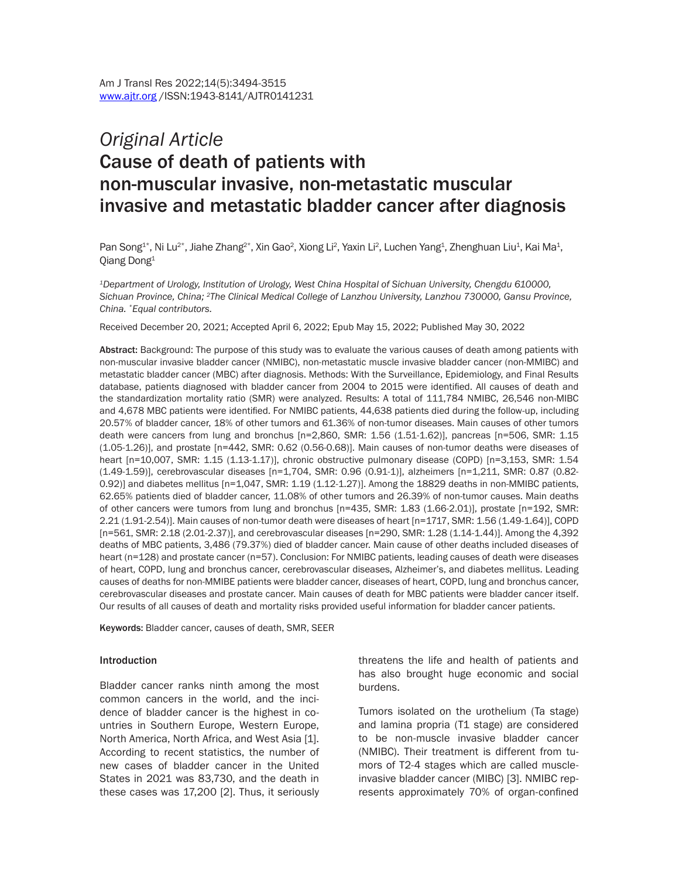# *Original Article* Cause of death of patients with non-muscular invasive, non-metastatic muscular invasive and metastatic bladder cancer after diagnosis

Pan Song<sup>1\*</sup>, Ni Lu<sup>2\*</sup>, Jiahe Zhang<sup>2\*</sup>, Xin Gao<sup>2</sup>, Xiong Li<sup>2</sup>, Yaxin Li<sup>2</sup>, Luchen Yang<sup>1</sup>, Zhenghuan Liu<sup>1</sup>, Kai Ma<sup>1</sup>, Qiang Dong1

*1Department of Urology, Institution of Urology, West China Hospital of Sichuan University, Chengdu 610000, Sichuan Province, China; 2The Clinical Medical College of Lanzhou University, Lanzhou 730000, Gansu Province, China. \*Equal contributors.*

Received December 20, 2021; Accepted April 6, 2022; Epub May 15, 2022; Published May 30, 2022

Abstract: Background: The purpose of this study was to evaluate the various causes of death among patients with non-muscular invasive bladder cancer (NMIBC), non-metastatic muscle invasive bladder cancer (non-MMIBC) and metastatic bladder cancer (MBC) after diagnosis. Methods: With the Surveillance, Epidemiology, and Final Results database, patients diagnosed with bladder cancer from 2004 to 2015 were identified. All causes of death and the standardization mortality ratio (SMR) were analyzed. Results: A total of 111,784 NMIBC, 26,546 non-MIBC and 4,678 MBC patients were identified. For NMIBC patients, 44,638 patients died during the follow-up, including 20.57% of bladder cancer, 18% of other tumors and 61.36% of non-tumor diseases. Main causes of other tumors death were cancers from lung and bronchus [n=2,860, SMR: 1.56 (1.51-1.62)], pancreas [n=506, SMR: 1.15 (1.05-1.26)], and prostate [n=442, SMR: 0.62 (0.56-0.68)]. Main causes of non-tumor deaths were diseases of heart [n=10,007, SMR: 1.15 (1.13-1.17)], chronic obstructive pulmonary disease (COPD) [n=3,153, SMR: 1.54 (1.49-1.59)], cerebrovascular diseases [n=1,704, SMR: 0.96 (0.91-1)], alzheimers [n=1,211, SMR: 0.87 (0.82- 0.92)] and diabetes mellitus [n=1,047, SMR: 1.19 (1.12-1.27)]. Among the 18829 deaths in non-MMIBC patients, 62.65% patients died of bladder cancer, 11.08% of other tumors and 26.39% of non-tumor causes. Main deaths of other cancers were tumors from lung and bronchus [n=435, SMR: 1.83 (1.66-2.01)], prostate [n=192, SMR: 2.21 (1.91-2.54)]. Main causes of non-tumor death were diseases of heart [n=1717, SMR: 1.56 (1.49-1.64)], COPD [n=561, SMR: 2.18 (2.01-2.37)], and cerebrovascular diseases [n=290, SMR: 1.28 (1.14-1.44)]. Among the 4,392 deaths of MBC patients, 3,486 (79.37%) died of bladder cancer. Main cause of other deaths included diseases of heart (n=128) and prostate cancer (n=57). Conclusion: For NMIBC patients, leading causes of death were diseases of heart, COPD, lung and bronchus cancer, cerebrovascular diseases, Alzheimer's, and diabetes mellitus. Leading causes of deaths for non-MMIBE patients were bladder cancer, diseases of heart, COPD, lung and bronchus cancer, cerebrovascular diseases and prostate cancer. Main causes of death for MBC patients were bladder cancer itself. Our results of all causes of death and mortality risks provided useful information for bladder cancer patients.

Keywords: Bladder cancer, causes of death, SMR, SEER

#### Introduction

Bladder cancer ranks ninth among the most common cancers in the world, and the incidence of bladder cancer is the highest in countries in Southern Europe, Western Europe, North America, North Africa, and West Asia [1]. According to recent statistics, the number of new cases of bladder cancer in the United States in 2021 was 83,730, and the death in these cases was 17,200 [2]. Thus, it seriously threatens the life and health of patients and has also brought huge economic and social burdens.

Tumors isolated on the urothelium (Ta stage) and lamina propria (T1 stage) are considered to be non-muscle invasive bladder cancer (NMIBC). Their treatment is different from tumors of T2-4 stages which are called muscleinvasive bladder cancer (MIBC) [3]. NMIBC represents approximately 70% of organ-confined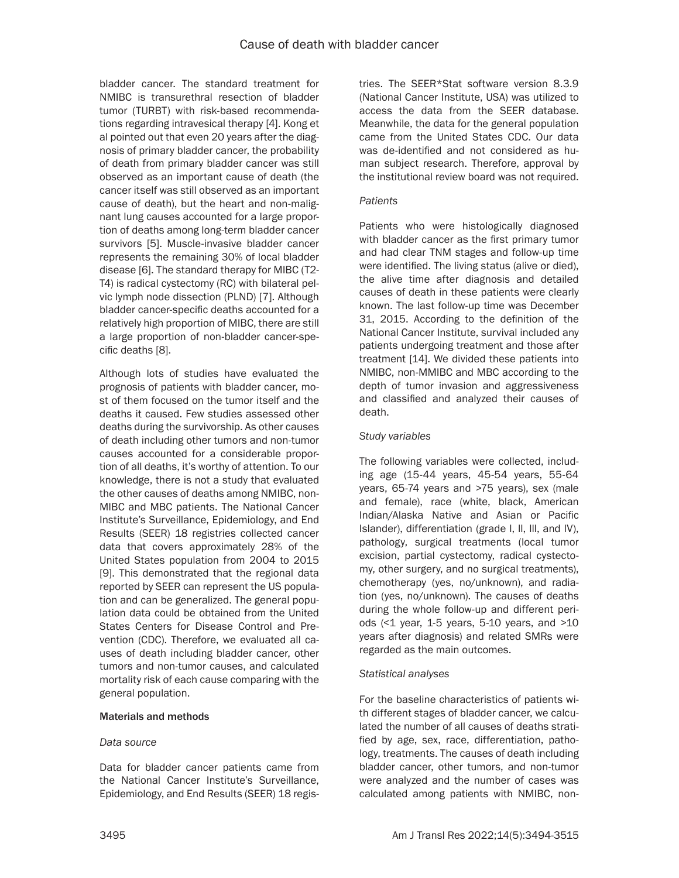bladder cancer. The standard treatment for NMIBC is transurethral resection of bladder tumor (TURBT) with risk-based recommendations regarding intravesical therapy [4]. Kong et al pointed out that even 20 years after the diagnosis of primary bladder cancer, the probability of death from primary bladder cancer was still observed as an important cause of death (the cancer itself was still observed as an important cause of death), but the heart and non-malignant lung causes accounted for a large proportion of deaths among long-term bladder cancer survivors [5]. Muscle-invasive bladder cancer represents the remaining 30% of local bladder disease [6]. The standard therapy for MIBC (T2- T4) is radical cystectomy (RC) with bilateral pelvic lymph node dissection (PLND) [7]. Although bladder cancer-specific deaths accounted for a relatively high proportion of MIBC, there are still a large proportion of non-bladder cancer-specific deaths [8].

Although lots of studies have evaluated the prognosis of patients with bladder cancer, most of them focused on the tumor itself and the deaths it caused. Few studies assessed other deaths during the survivorship. As other causes of death including other tumors and non-tumor causes accounted for a considerable proportion of all deaths, it's worthy of attention. To our knowledge, there is not a study that evaluated the other causes of deaths among NMIBC, non-MIBC and MBC patients. The National Cancer Institute's Surveillance, Epidemiology, and End Results (SEER) 18 registries collected cancer data that covers approximately 28% of the United States population from 2004 to 2015 [9]. This demonstrated that the regional data reported by SEER can represent the US population and can be generalized. The general population data could be obtained from the United States Centers for Disease Control and Prevention (CDC). Therefore, we evaluated all causes of death including bladder cancer, other tumors and non-tumor causes, and calculated mortality risk of each cause comparing with the general population.

### Materials and methods

### *Data source*

Data for bladder cancer patients came from the National Cancer Institute's Surveillance, Epidemiology, and End Results (SEER) 18 registries. The SEER\*Stat software version 8.3.9 (National Cancer Institute, USA) was utilized to access the data from the SEER database. Meanwhile, the data for the general population came from the United States CDC. Our data was de-identified and not considered as human subject research. Therefore, approval by the institutional review board was not required.

### *Patients*

Patients who were histologically diagnosed with bladder cancer as the first primary tumor and had clear TNM stages and follow-up time were identified. The living status (alive or died), the alive time after diagnosis and detailed causes of death in these patients were clearly known. The last follow-up time was December 31, 2015. According to the definition of the National Cancer Institute, survival included any patients undergoing treatment and those after treatment [14]. We divided these patients into NMIBC, non-MMIBC and MBC according to the depth of tumor invasion and aggressiveness and classified and analyzed their causes of death.

### *Study variables*

The following variables were collected, including age (15-44 years, 45-54 years, 55-64 years, 65-74 years and >75 years), sex (male and female), race (white, black, American Indian/Alaska Native and Asian or Pacific Islander), differentiation (grade l, ll, lll, and lV), pathology, surgical treatments (local tumor excision, partial cystectomy, radical cystectomy, other surgery, and no surgical treatments), chemotherapy (yes, no/unknown), and radiation (yes, no/unknown). The causes of deaths during the whole follow-up and different periods (<1 year, 1-5 years, 5-10 years, and >10 years after diagnosis) and related SMRs were regarded as the main outcomes.

### *Statistical analyses*

For the baseline characteristics of patients with different stages of bladder cancer, we calculated the number of all causes of deaths stratified by age, sex, race, differentiation, pathology, treatments. The causes of death including bladder cancer, other tumors, and non-tumor were analyzed and the number of cases was calculated among patients with NMIBC, non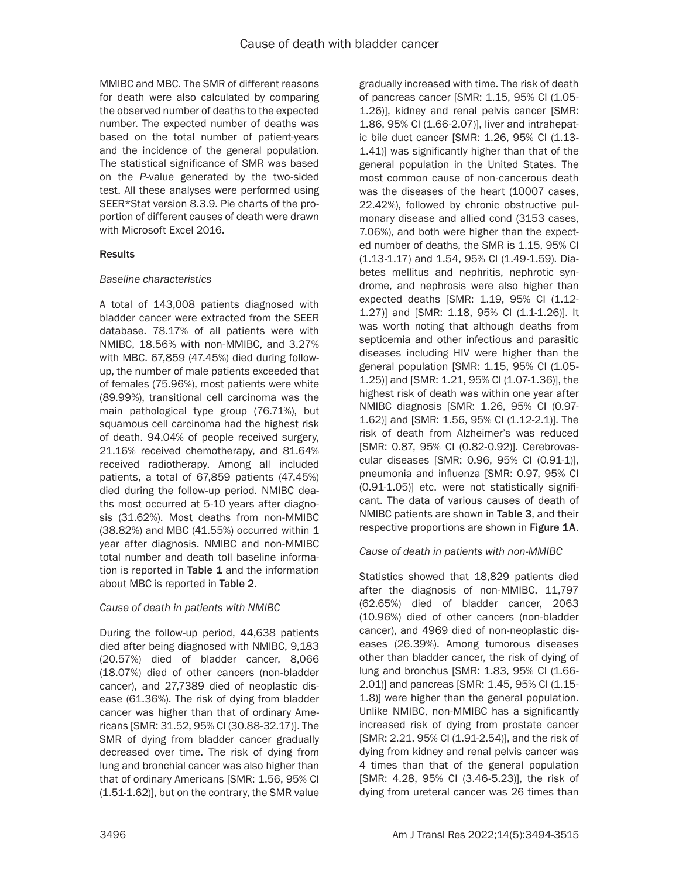MMIBC and MBC. The SMR of different reasons for death were also calculated by comparing the observed number of deaths to the expected number. The expected number of deaths was based on the total number of patient-years and the incidence of the general population. The statistical significance of SMR was based on the *P*-value generated by the two-sided test. All these analyses were performed using SEER\*Stat version 8.3.9. Pie charts of the proportion of different causes of death were drawn with Microsoft Excel 2016.

### **Results**

### *Baseline characteristics*

A total of 143,008 patients diagnosed with bladder cancer were extracted from the SEER database. 78.17% of all patients were with NMIBC, 18.56% with non-MMIBC, and 3.27% with MBC. 67,859 (47.45%) died during followup, the number of male patients exceeded that of females (75.96%), most patients were white (89.99%), transitional cell carcinoma was the main pathological type group (76.71%), but squamous cell carcinoma had the highest risk of death. 94.04% of people received surgery, 21.16% received chemotherapy, and 81.64% received radiotherapy. Among all included patients, a total of 67,859 patients (47.45%) died during the follow-up period. NMIBC deaths most occurred at 5-10 years after diagnosis (31.62%). Most deaths from non-MMIBC (38.82%) and MBC (41.55%) occurred within 1 year after diagnosis. NMIBC and non-MMIBC total number and death toll baseline information is reported in Table  $1$  and the information about MBC is reported in Table 2.

## *Cause of death in patients with NMIBC*

During the follow-up period, 44,638 patients died after being diagnosed with NMIBC, 9,183 (20.57%) died of bladder cancer, 8,066 (18.07%) died of other cancers (non-bladder cancer), and 27,7389 died of neoplastic disease (61.36%). The risk of dying from bladder cancer was higher than that of ordinary Americans [SMR: 31.52, 95% CI (30.88-32.17)]. The SMR of dying from bladder cancer gradually decreased over time. The risk of dying from lung and bronchial cancer was also higher than that of ordinary Americans [SMR: 1.56, 95% CI (1.51-1.62)], but on the contrary, the SMR value gradually increased with time. The risk of death of pancreas cancer [SMR: 1.15, 95% CI (1.05- 1.26)], kidney and renal pelvis cancer [SMR: 1.86, 95% CI (1.66-2.07)], liver and intrahepatic bile duct cancer [SMR: 1.26, 95% CI (1.13- 1.41)] was significantly higher than that of the general population in the United States. The most common cause of non-cancerous death was the diseases of the heart (10007 cases, 22.42%), followed by chronic obstructive pulmonary disease and allied cond (3153 cases, 7.06%), and both were higher than the expected number of deaths, the SMR is 1.15, 95% CI (1.13-1.17) and 1.54, 95% CI (1.49-1.59). Diabetes mellitus and nephritis, nephrotic syndrome, and nephrosis were also higher than expected deaths [SMR: 1.19, 95% CI (1.12- 1.27)] and [SMR: 1.18, 95% CI (1.1-1.26)]. It was worth noting that although deaths from septicemia and other infectious and parasitic diseases including HIV were higher than the general population [SMR: 1.15, 95% CI (1.05-1.25)] and [SMR: 1.21, 95% CI (1.07-1.36)], the highest risk of death was within one year after NMIBC diagnosis [SMR: 1.26, 95% CI (0.97- 1.62)] and [SMR: 1.56, 95% CI (1.12-2.1)]. The risk of death from Alzheimer's was reduced [SMR: 0.87, 95% CI (0.82-0.92)]. Cerebrovascular diseases [SMR: 0.96, 95% CI (0.91-1)], pneumonia and influenza [SMR: 0.97, 95% CI (0.91-1.05)] etc. were not statistically significant. The data of various causes of death of NMIBC patients are shown in Table 3, and their respective proportions are shown in Figure 1A.

## *Cause of death in patients with non-MMIBC*

Statistics showed that 18,829 patients died after the diagnosis of non-MMIBC, 11,797 (62.65%) died of bladder cancer, 2063 (10.96%) died of other cancers (non-bladder cancer), and 4969 died of non-neoplastic diseases (26.39%). Among tumorous diseases other than bladder cancer, the risk of dying of lung and bronchus [SMR: 1.83, 95% CI (1.66- 2.01)] and pancreas [SMR: 1.45, 95% CI (1.15- 1.8)] were higher than the general population. Unlike NMIBC, non-MMIBC has a significantly increased risk of dying from prostate cancer [SMR: 2.21, 95% CI (1.91-2.54)], and the risk of dying from kidney and renal pelvis cancer was 4 times than that of the general population [SMR: 4.28, 95% CI (3.46-5.23)], the risk of dying from ureteral cancer was 26 times than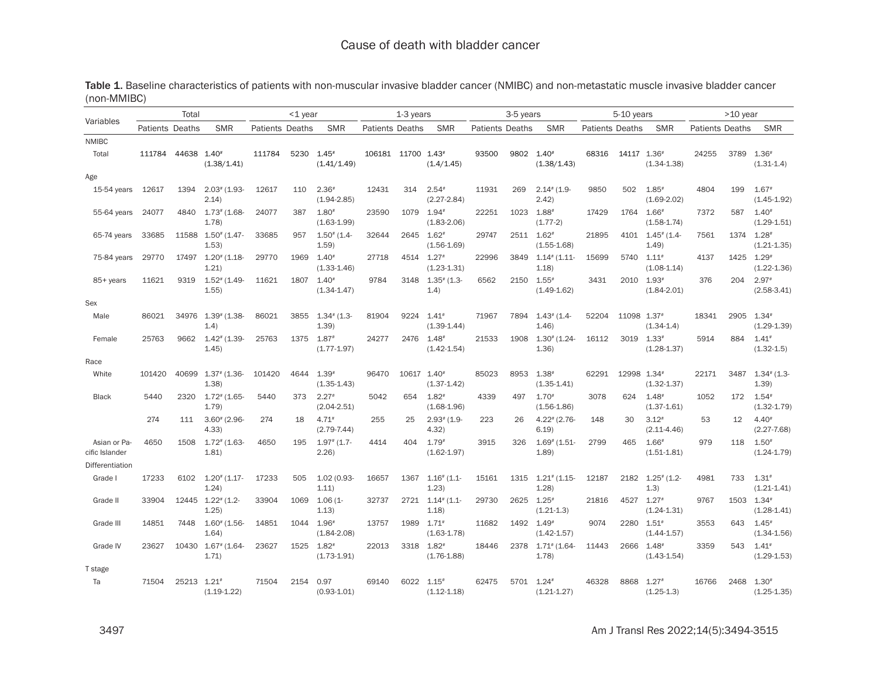|                                |                        | Total |                                       |                        | $<$ 1 year |                                   |                        | 1-3 years   |                                           |                        | 3-5 years |                                       |                        | 5-10 years  |                                        |                        | $>10$ year |                                        |
|--------------------------------|------------------------|-------|---------------------------------------|------------------------|------------|-----------------------------------|------------------------|-------------|-------------------------------------------|------------------------|-----------|---------------------------------------|------------------------|-------------|----------------------------------------|------------------------|------------|----------------------------------------|
| Variables                      | <b>Patients Deaths</b> |       | <b>SMR</b>                            | <b>Patients Deaths</b> |            | <b>SMR</b>                        | <b>Patients Deaths</b> |             | <b>SMR</b>                                | <b>Patients Deaths</b> |           | <b>SMR</b>                            | <b>Patients Deaths</b> |             | <b>SMR</b>                             | <b>Patients Deaths</b> |            | <b>SMR</b>                             |
| <b>NMIBC</b>                   |                        |       |                                       |                        |            |                                   |                        |             |                                           |                        |           |                                       |                        |             |                                        |                        |            |                                        |
| Total                          | 111784                 | 44638 | $1.40*$<br>(1.38/1.41)                | 111784                 | 5230       | $1.45*$<br>(1.41/1.49)            | 106181 11700 1.43#     |             | (1.4/1.45)                                | 93500                  | 9802      | $1.40*$<br>(1.38/1.43)                | 68316                  | 14117 1.36# | $(1.34 - 1.38)$                        | 24255                  | 3789       | $1.36*$<br>$(1.31 - 1.4)$              |
| Age                            |                        |       |                                       |                        |            |                                   |                        |             |                                           |                        |           |                                       |                        |             |                                        |                        |            |                                        |
| 15-54 years                    | 12617                  | 1394  | $2.03$ $(1.93 -$<br>2.14)             | 12617                  | 110        | $2.36*$<br>$(1.94 - 2.85)$        | 12431                  | 314         | $2.54*$<br>$(2.27 - 2.84)$                | 11931                  | 269       | $2.14$ # (1.9-<br>2.42)               | 9850                   | 502         | $1.85$ <sup>#</sup><br>$(1.69 - 2.02)$ | 4804                   | 199        | $1.67*$<br>$(1.45 - 1.92)$             |
| 55-64 years                    | 24077                  | 4840  | $1.73$ $(1.68 -$<br>1.78              | 24077                  | 387        | $1.80*$<br>$(1.63 - 1.99)$        | 23590                  | 1079        | $1.94*$<br>$(1.83 - 2.06)$                | 22251                  | 1023      | $1.88*$<br>$(1.77-2)$                 | 17429                  | 1764        | $1.66*$<br>$(1.58 - 1.74)$             | 7372                   | 587        | $1.40*$<br>$(1.29 - 1.51)$             |
| 65-74 years                    | 33685                  | 11588 | $1.50^{*}$ (1.47-<br>1.53             | 33685                  | 957        | $1.50$ $(1.4 -$<br>1.59           | 32644                  | 2645        | $1.62*$<br>$(1.56 - 1.69)$                | 29747                  | 2511      | $1.62*$<br>$(1.55 - 1.68)$            | 21895                  |             | 4101 1.45* (1.4-<br>1.49               | 7561                   | 1374       | $1.28$ <sup>#</sup><br>$(1.21 - 1.35)$ |
| 75-84 years                    | 29770                  | 17497 | $1.20^{*}$ (1.18-<br>1.21             | 29770                  | 1969       | $1.40^{*}$<br>$(1.33 - 1.46)$     | 27718                  | 4514 1.27#  | $(1.23 - 1.31)$                           | 22996                  | 3849      | $1.14$ <sup>#</sup> $(1.11$<br>1.18   | 15699                  | 5740 1.11#  | $(1.08 - 1.14)$                        | 4137                   | 1425       | $1.29$ <sup>#</sup><br>$(1.22 - 1.36)$ |
| 85+ years                      | 11621                  | 9319  | $1.52$ # (1.49-<br>1.55               | 11621                  | 1807       | $1.40*$<br>$(1.34 - 1.47)$        | 9784                   | 3148        | $1.35$ $(1.3 -$<br>(1.4)                  | 6562                   | 2150      | $1.55*$<br>$(1.49 - 1.62)$            | 3431                   | 2010 1.93   | $(1.84 - 2.01)$                        | 376                    | 204        | $2.97*$<br>$(2.58 - 3.41)$             |
| Sex                            |                        |       |                                       |                        |            |                                   |                        |             |                                           |                        |           |                                       |                        |             |                                        |                        |            |                                        |
| Male                           | 86021                  | 34976 | $1.39^*$ (1.38-<br>1.4)               | 86021                  | 3855       | $1.34$ $(1.3 -$<br>1.39           | 81904                  | 9224        | $1.41^*$<br>$(1.39 - 1.44)$               | 71967                  | 7894      | $1.43^*$ (1.4-<br>1.46                | 52204                  | 11098 1.37# | $(1.34 - 1.4)$                         | 18341                  | 2905       | $1.34*$<br>$(1.29 - 1.39)$             |
| Female                         | 25763                  | 9662  | $1.42$ # (1.39-<br>1.45               | 25763                  | 1375       | $1.87*$<br>$(1.77 - 1.97)$        | 24277                  | 2476        | $1.48*$<br>$(1.42 - 1.54)$                | 21533                  | 1908      | $1.30^{*}$ (1.24-<br>1.36             | 16112                  | 3019 1.33#  | $(1.28 - 1.37)$                        | 5914                   | 884        | $1.41*$<br>$(1.32 - 1.5)$              |
| Race                           |                        |       |                                       |                        |            |                                   |                        |             |                                           |                        |           |                                       |                        |             |                                        |                        |            |                                        |
| White                          | 101420                 | 40699 | $1.37$ # (1.36-<br>1.38               | 101420                 | 4644       | $1.39*$<br>$(1.35 - 1.43)$        | 96470                  | 10617 1.40# | $(1.37 - 1.42)$                           | 85023                  | 8953      | $1.38^{*}$<br>$(1.35 - 1.41)$         | 62291                  | 12998 1.34  | $(1.32 - 1.37)$                        | 22171                  | 3487       | $1.34$ <sup>#</sup> (1.3-<br>1.39)     |
| <b>Black</b>                   | 5440                   | 2320  | $1.72$ $(1.65 -$<br>1.79              | 5440                   | 373        | $2.27*$<br>$(2.04 - 2.51)$        | 5042                   | 654         | $1.82*$<br>$(1.68 - 1.96)$                | 4339                   | 497       | $1.70*$<br>$(1.56 - 1.86)$            | 3078                   | 624         | $1.48*$<br>$(1.37 - 1.61)$             | 1052                   | 172        | $1.54$ <sup>#</sup><br>$(1.32 - 1.79)$ |
|                                | 274                    | 111   | $3.60^{*}$ (2.96-<br>4.33             | 274                    | 18         | $4.71*$<br>$(2.79 - 7.44)$        | 255                    | 25          | $2.93*$ (1.9-<br>4.32                     | 223                    | 26        | $4.22$ # (2.76-<br>6.19               | 148                    | 30          | $3.12*$<br>$(2.11 - 4.46)$             | 53                     | 12         | $4.40*$<br>$(2.27 - 7.68)$             |
| Asian or Pa-<br>cific Islander | 4650                   | 1508  | $1.72$ $(1.63 -$<br>1.81)             | 4650                   | 195        | $1.97$ <sup>#</sup> (1.7-<br>2.26 | 4414                   | 404         | $1.79*$<br>$(1.62 - 1.97)$                | 3915                   | 326       | $1.69$ $(1.51 -$<br>1.89)             | 2799                   | 465         | $1.66*$<br>$(1.51 - 1.81)$             | 979                    | 118        | $1.50^{*}$<br>$(1.24 - 1.79)$          |
| Differentiation                |                        |       |                                       |                        |            |                                   |                        |             |                                           |                        |           |                                       |                        |             |                                        |                        |            |                                        |
| Grade I                        | 17233                  | 6102  | $1.20$ <sup>#</sup> $(1.17 -$<br>1.24 | 17233                  | 505        | 1.02 (0.93-<br>1.11)              | 16657                  | 1367        | $1.16$ <sup>#</sup> $(1.1-$<br>1.23)      | 15161                  | 1315      | $1.21$ <sup>#</sup> (1.15-<br>1.28    | 12187                  | 2182        | $1.25$ # (1.2-<br>(1.3)                | 4981                   | 733        | $1.31*$<br>$(1.21 - 1.41)$             |
| Grade II                       | 33904                  | 12445 | $1.22$ <sup>#</sup> $(1.2 -$<br>1.25  | 33904                  | 1069       | $1.06(1 -$<br>1.13)               | 32737                  |             | $2721$ $1.14$ <sup>#</sup> $(1.1$<br>1.18 | 29730                  | 2625      | $1.25$ <sup>#</sup><br>$(1.21 - 1.3)$ | 21816                  | 4527 1.27*  | $(1.24 - 1.31)$                        | 9767                   | 1503       | $1.34*$<br>$(1.28 - 1.41)$             |
| Grade III                      | 14851                  | 7448  | $1.60$ $(1.56 -$<br>1.64)             | 14851                  | 1044       | $1.96*$<br>$(1.84 - 2.08)$        | 13757                  | 1989        | $1.71*$<br>$(1.63 - 1.78)$                | 11682                  | 1492      | $1.49*$<br>$(1.42 - 1.57)$            | 9074                   | 2280 1.51#  | $(1.44 - 1.57)$                        | 3553                   | 643        | $1.45*$<br>$(1.34 - 1.56)$             |
| Grade IV                       | 23627                  | 10430 | $1.67$ # $(1.64$<br>1.71)             | 23627                  | 1525       | $1.82*$<br>$(1.73 - 1.91)$        | 22013                  | 3318 1.82#  | $(1.76 - 1.88)$                           | 18446                  | 2378      | $1.71$ # (1.64-<br>1.78               | 11443                  | 2666 1.48   | $(1.43 - 1.54)$                        | 3359                   | 543        | $1.41*$<br>$(1.29 - 1.53)$             |
| T stage                        |                        |       |                                       |                        |            |                                   |                        |             |                                           |                        |           |                                       |                        |             |                                        |                        |            |                                        |
| Ta                             | 71504                  | 25213 | $1.21$ <sup>#</sup><br>$(1.19-1.22)$  | 71504                  | 2154       | 0.97<br>$(0.93 - 1.01)$           | 69140                  | 6022        | $1.15*$<br>$(1.12 - 1.18)$                | 62475                  | 5701      | $1.24*$<br>$(1.21 - 1.27)$            | 46328                  | 8868        | $1.27*$<br>$(1.25 - 1.3)$              | 16766                  | 2468       | $1.30*$<br>$(1.25 - 1.35)$             |

Table 1. Baseline characteristics of patients with non-muscular invasive bladder cancer (NMIBC) and non-metastatic muscle invasive bladder cancer (non-MMIBC)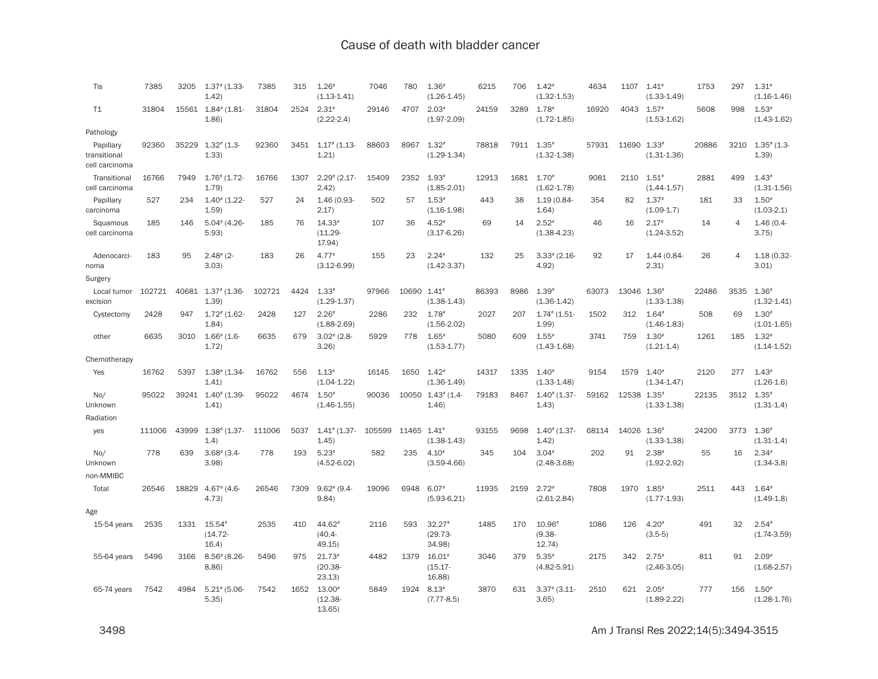| Tis                                         | 7385   | 3205  | $1.37$ $(1.33 -$<br>1.42)           | 7385   | 315  | $1.26*$<br>$(1.13 - 1.41)$       | 7046   | 780         | $1.36*$<br>$(1.26 - 1.45)$             | 6215  | 706  | $1.42*$<br>$(1.32 - 1.53)$             | 4634  | 1107        | $1.41*$<br>$(1.33 - 1.49)$ | 1753  | 297  | $1.31*$<br>$(1.16 - 1.46)$ |
|---------------------------------------------|--------|-------|-------------------------------------|--------|------|----------------------------------|--------|-------------|----------------------------------------|-------|------|----------------------------------------|-------|-------------|----------------------------|-------|------|----------------------------|
| T1                                          | 31804  | 15561 | $1.84$ <sup>#</sup> (1.81-<br>1.86  | 31804  | 2524 | $2.31*$<br>$(2.22 - 2.4)$        | 29146  | 4707        | $2.03*$<br>$(1.97 - 2.09)$             | 24159 | 3289 | 1.78<br>$(1.72 - 1.85)$                | 16920 | 4043        | $1.57*$<br>$(1.53 - 1.62)$ | 5608  | 998  | $1.53*$<br>$(1.43 - 1.62)$ |
| Pathology                                   |        |       |                                     |        |      |                                  |        |             |                                        |       |      |                                        |       |             |                            |       |      |                            |
| Papillary<br>transitional<br>cell carcinoma | 92360  | 35229 | $1.32$ # (1.3-<br>1.33)             | 92360  | 3451 | $1.17$ # (1.13-<br>1.21)         | 88603  | 8967        | $1.32*$<br>$(1.29 - 1.34)$             | 78818 | 7911 | $1.35*$<br>$(1.32 - 1.38)$             | 57931 | 11690       | $1.33*$<br>$(1.31 - 1.36)$ | 20886 | 3210 | $1.35$ # (1.3-<br>1.39)    |
| Transitional<br>cell carcinoma              | 16766  | 7949  | $1.76$ $(1.72 -$<br>1.79            | 16766  | 1307 | $2.29$ # (2.17-<br>2.42)         | 15409  | 2352 1.93#  | $(1.85 - 2.01)$                        | 12913 | 1681 | $1.70*$<br>$(1.62 - 1.78)$             | 9081  | 2110        | $1.51*$<br>$(1.44 - 1.57)$ | 2881  | 499  | $1.43*$<br>$(1.31 - 1.56)$ |
| Papillary<br>carcinoma                      | 527    | 234   | $1.40^{*}$ (1.22-<br>1.59           | 527    | 24   | 1.46 (0.93-<br>2.17)             | 502    | 57          | $1.53*$<br>$(1.16 - 1.98)$             | 443   | 38   | 1.19 (0.84-<br>1.64)                   | 354   | 82          | $1.37*$<br>$(1.09-1.7)$    | 181   | 33   | $1.50*$<br>$(1.03-2.1)$    |
| Squamous<br>cell carcinoma                  | 185    | 146   | $5.04*$ (4.26-<br>5.93              | 185    | 76   | $14.33*$<br>$(11.29 -$<br>17.94) | 107    | 36          | $4.52*$<br>$(3.17 - 6.26)$             | 69    | 14   | $2.52*$<br>$(1.38 - 4.23)$             | 46    | 16          | $2.17*$<br>$(1.24 - 3.52)$ | 14    | 4    | $1.46(0.4 -$<br>3.75)      |
| Adenocarci-<br>noma                         | 183    | 95    | $2.48$ <sup>#</sup> $(2-$<br>3.03)  | 183    | 26   | $4.77*$<br>$(3.12 - 6.99)$       | 155    | 23          | $2.24*$<br>$(1.42 - 3.37)$             | 132   | 25   | $3.33$ # (2.16-<br>4.92                | 92    | 17          | 1.44 (0.84-<br>2.31)       | 26    | 4    | 1.18 (0.32-<br>3.01        |
| Surgery                                     |        |       |                                     |        |      |                                  |        |             |                                        |       |      |                                        |       |             |                            |       |      |                            |
| Local tumor<br>excision                     | 102721 | 40681 | $1.37$ <sup>#</sup> (1.36-<br>1.39) | 102721 | 4424 | $1.33*$<br>$(1.29 - 1.37)$       | 97966  | 10690 1.41# | $(1.38 - 1.43)$                        | 86393 | 8986 | $1.39*$<br>$(1.36 - 1.42)$             | 63073 | 13046 1.36# | $(1.33 - 1.38)$            | 22486 | 3535 | $1.36*$<br>$(1.32 - 1.41)$ |
| Cystectomy                                  | 2428   | 947   | $1.72$ # (1.62-<br>1.84)            | 2428   | 127  | $2.26*$<br>$(1.88 - 2.69)$       | 2286   | 232         | $1.78$ <sup>#</sup><br>$(1.56 - 2.02)$ | 2027  | 207  | $1.74$ $(1.51 -$<br>1.99               | 1502  | 312         | $1.64*$<br>$(1.46 - 1.83)$ | 508   | 69   | $1.30*$<br>$(1.01 - 1.65)$ |
| other                                       | 6635   | 3010  | $1.66$ <sup>#</sup> (1.6-<br>1.72)  | 6635   | 679  | $3.02^{*}$ (2.8-<br>3.26         | 5929   | 778         | $1.65*$<br>$(1.53 - 1.77)$             | 5080  | 609  | $1.55$ <sup>#</sup><br>$(1.43 - 1.68)$ | 3741  | 759         | $1.30*$<br>$(1.21 - 1.4)$  | 1261  | 185  | $1.32*$<br>$(1.14 - 1.52)$ |
| Chemotherapy                                |        |       |                                     |        |      |                                  |        |             |                                        |       |      |                                        |       |             |                            |       |      |                            |
| Yes                                         | 16762  | 5397  | $1.38$ # (1.34-<br>1.41             | 16762  | 556  | $1.13*$<br>$(1.04 - 1.22)$       | 16145  | 1650        | $1.42*$<br>$(1.36 - 1.49)$             | 14317 | 1335 | $1.40*$<br>$(1.33 - 1.48)$             | 9154  | 1579        | $1.40*$<br>$(1.34 - 1.47)$ | 2120  | 277  | $1.43*$<br>$(1.26 - 1.6)$  |
| No/<br>Unknown<br>Radiation                 | 95022  | 39241 | $1.40^{*}$ (1.39-<br>1.41)          | 95022  | 4674 | $1.50*$<br>$(1.46 - 1.55)$       | 90036  | 10050       | $1.43$ <sup>#</sup> $(1.4-$<br>1.46    | 79183 | 8467 | $1.40$ <sup>#</sup> $(1.37 -$<br>1.43) | 59162 | 12538       | $1.35*$<br>$(1.33 - 1.38)$ | 22135 | 3512 | $1.35*$<br>$(1.31 - 1.4)$  |
| yes                                         | 111006 | 43999 | $1.38$ # (1.37-<br>1.4)             | 111006 | 5037 | $1.41$ # (1.37-<br>1.45          | 105599 | 11465       | $1.41*$<br>$(1.38 - 1.43)$             | 93155 | 9698 | $1.40$ $(1.37 -$<br>1.42)              | 68114 | 14026       | $1.36*$<br>$(1.33 - 1.38)$ | 24200 | 3773 | $1.36*$<br>$(1.31 - 1.4)$  |
| No/<br>Unknown<br>non-MMIBC                 | 778    | 639   | $3.68$ $(3.4 -$<br>3.98             | 778    | 193  | $5.23*$<br>$(4.52 - 6.02)$       | 582    | 235         | $4.10*$<br>$(3.59 - 4.66)$             | 345   | 104  | $3.04*$<br>$(2.48-3.68)$               | 202   | 91          | $2.38*$<br>$(1.92 - 2.92)$ | 55    | 16   | $2.34*$<br>$(1.34 - 3.8)$  |
| Total                                       | 26546  | 18829 | $4.67$ $(4.6$<br>4.73)              | 26546  | 7309 | $9.62$ $(9.4 -$<br>9.84          | 19096  | 6948        | $6.07*$<br>$(5.93 - 6.21)$             | 11935 | 2159 | $2.72*$<br>$(2.61 - 2.84)$             | 7808  | 1970        | $1.85*$<br>$(1.77 - 1.93)$ | 2511  | 443  | $1.64*$<br>$(1.49-1.8)$    |
| Age                                         |        |       |                                     |        |      |                                  |        |             |                                        |       |      |                                        |       |             |                            |       |      |                            |
| $15-54$ years                               | 2535   | 1331  | $15.54*$<br>$(14.72 -$<br>16.4)     | 2535   | 410  | 44.62#<br>$(40.4 -$<br>49.15)    | 2116   | 593         | $32.27*$<br>$(29.73 -$<br>34.98)       | 1485  | 170  | $10.96*$<br>$(9.38 -$<br>12.74         | 1086  | 126         | $4.20*$<br>$(3.5-5)$       | 491   | 32   | $2.54*$<br>$(1.74 - 3.59)$ |
| 55-64 vears                                 | 5496   | 3166  | $8.56$ $(8.26$<br>8.86              | 5496   | 975  | $21.73*$<br>$(20.38 -$<br>23.13  | 4482   | 1379        | $16.01*$<br>$(15.17 -$<br>16.88)       | 3046  | 379  | $5.35*$<br>$(4.82 - 5.91)$             | 2175  | 342         | $2.75*$<br>$(2.46 - 3.05)$ | 811   | 91   | $2.09*$<br>$(1.68 - 2.57)$ |
| 65-74 years                                 | 7542   | 4984  | $5.21$ (5.06-<br>5.35               | 7542   | 1652 | $13.00*$<br>$(12.38 -$<br>13.65  | 5849   | 1924        | $8.13*$<br>$(7.77 - 8.5)$              | 3870  | 631  | $3.37$ $(3.11$<br>3.65                 | 2510  | 621         | $2.05*$<br>$(1.89 - 2.22)$ | 777   | 156  | $1.50*$<br>$(1.28 - 1.76)$ |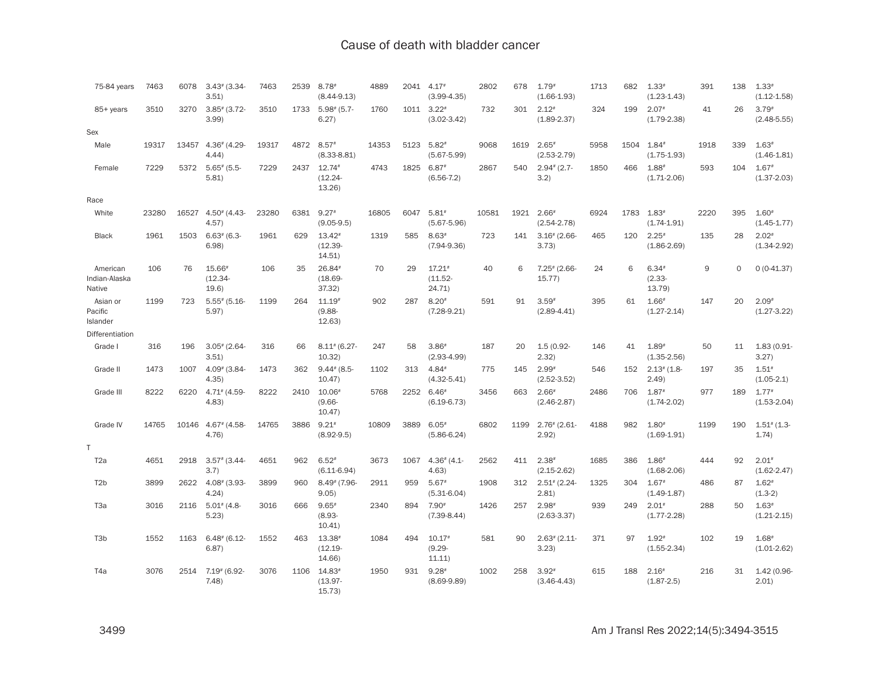| 75-84 years                         | 7463  | 6078  | $3.43$ (3.34-<br>3.51                  | 7463  | 2539 | $8.78*$<br>$(8.44 - 9.13)$       | 4889  | 2041 | $4.17*$<br>$(3.99 - 4.35)$                  | 2802  | 678  | $1.79*$<br>$(1.66 - 1.93)$ | 1713 | 682  | $1.33*$<br>$(1.23 - 1.43)$             | 391  | 138      | $1.33*$<br>$(1.12 - 1.58)$ |
|-------------------------------------|-------|-------|----------------------------------------|-------|------|----------------------------------|-------|------|---------------------------------------------|-------|------|----------------------------|------|------|----------------------------------------|------|----------|----------------------------|
| 85+ years                           | 3510  | 3270  | $3.85$ $(3.72 -$<br>3.99               | 3510  | 1733 | $5.98$ $(5.7 -$<br>6.27)         | 1760  |      | 1011 3.22#<br>$(3.02 - 3.42)$               | 732   | 301  | $2.12*$<br>$(1.89 - 2.37)$ | 324  | 199  | $2.07*$<br>$(1.79 - 2.38)$             | 41   | 26       | $3.79*$<br>$(2.48 - 5.55)$ |
| Sex                                 |       |       |                                        |       |      |                                  |       |      |                                             |       |      |                            |      |      |                                        |      |          |                            |
| Male                                | 19317 | 13457 | $4.36$ $(4.29$<br>4.44                 | 19317 | 4872 | $8.57*$<br>$(8.33 - 8.81)$       | 14353 | 5123 | $5.82*$<br>$(5.67 - 5.99)$                  | 9068  | 1619 | $2.65*$<br>$(2.53 - 2.79)$ | 5958 | 1504 | $1.84*$<br>$(1.75 - 1.93)$             | 1918 | 339      | $1.63*$<br>$(1.46 - 1.81)$ |
| Female                              | 7229  | 5372  | $5.65$ $(5.5 -$<br>5.81)               | 7229  | 2437 | $12.74*$<br>$(12.24 -$<br>13.26  | 4743  | 1825 | $6.87*$<br>$(6.56 - 7.2)$                   | 2867  | 540  | $2.94$ $(2.7 -$<br>3.2)    | 1850 | 466  | $1.88$ <sup>#</sup><br>$(1.71 - 2.06)$ | 593  | 104      | $1.67*$<br>$(1.37 - 2.03)$ |
| Race                                |       |       |                                        |       |      |                                  |       |      |                                             |       |      |                            |      |      |                                        |      |          |                            |
| White                               | 23280 | 16527 | $4.50$ <sup>#</sup> $(4.43 -$<br>4.57) | 23280 | 6381 | $9.27*$<br>$(9.05 - 9.5)$        | 16805 | 6047 | $5.81*$<br>$(5.67 - 5.96)$                  | 10581 | 1921 | $2.66*$<br>$(2.54 - 2.78)$ | 6924 | 1783 | $1.83*$<br>$(1.74 - 1.91)$             | 2220 | 395      | $1.60*$<br>$(1.45 - 1.77)$ |
| <b>Black</b>                        | 1961  | 1503  | $6.63$ $(6.3 -$<br>6.98                | 1961  | 629  | $13.42*$<br>$(12.39 -$<br>14.51  | 1319  | 585  | $8.63*$<br>$(7.94 - 9.36)$                  | 723   | 141  | $3.16$ $(2.66$<br>3.73)    | 465  | 120  | $2.25*$<br>$(1.86 - 2.69)$             | 135  | 28       | $2.02*$<br>$(1.34 - 2.92)$ |
| American<br>Indian-Alaska<br>Native | 106   | 76    | $15.66*$<br>$(12.34 -$<br>19.6)        | 106   | 35   | $26.84*$<br>$(18.69 -$<br>37.32) | 70    | 29   | $17.21$ <sup>*</sup><br>$(11.52 -$<br>24.71 | 40    | 6    | $7.25$ (2.66-<br>15.77     | 24   | 6    | $6.34*$<br>$(2.33 -$<br>13.79          | 9    | $\Omega$ | $0(0-41.37)$               |
| Asian or<br>Pacific<br>Islander     | 1199  | 723   | $5.55$ # (5.16-<br>5.97)               | 1199  | 264  | $11.19*$<br>$(9.88 -$<br>12.63   | 902   | 287  | $8.20*$<br>$(7.28 - 9.21)$                  | 591   | 91   | $3.59*$<br>$(2.89 - 4.41)$ | 395  | 61   | $1.66*$<br>$(1.27 - 2.14)$             | 147  | 20       | $2.09*$<br>$(1.27 - 3.22)$ |
| Differentiation                     |       |       |                                        |       |      |                                  |       |      |                                             |       |      |                            |      |      |                                        |      |          |                            |
| Grade I                             | 316   | 196   | $3.05$ $(2.64 -$<br>3.51               | 316   | 66   | $8.11$ # (6.27-<br>10.32         | 247   | 58   | $3.86$ <sup>#</sup><br>$(2.93 - 4.99)$      | 187   | 20   | $1.5(0.92 -$<br>2.32)      | 146  | 41   | $1.89*$<br>$(1.35 - 2.56)$             | 50   | 11       | 1.83 (0.91-<br>3.27)       |
| Grade II                            | 1473  | 1007  | $4.09$ $(3.84 -$<br>4.35)              | 1473  | 362  | $9.44$ $(8.5 -$<br>10.47)        | 1102  | 313  | $4.84*$<br>$(4.32 - 5.41)$                  | 775   | 145  | $2.99*$<br>$(2.52 - 3.52)$ | 546  | 152  | $2.13$ $(1.8$<br>(2.49)                | 197  | 35       | $1.51*$<br>$(1.05-2.1)$    |
| Grade III                           | 8222  | 6220  | $4.71$ # (4.59-<br>4.83                | 8222  | 2410 | $10.06*$<br>$(9.66 -$<br>10.47)  | 5768  |      | 2252 6.46#<br>$(6.19 - 6.73)$               | 3456  | 663  | $2.66*$<br>$(2.46 - 2.87)$ | 2486 | 706  | $1.87*$<br>$(1.74 - 2.02)$             | 977  | 189      | $1.77*$<br>$(1.53 - 2.04)$ |
| Grade IV                            | 14765 | 10146 | $4.67$ <sup>#</sup> (4.58-<br>4.76)    | 14765 | 3886 | $9.21*$<br>$(8.92 - 9.5)$        | 10809 | 3889 | $6.05*$<br>$(5.86 - 6.24)$                  | 6802  | 1199 | $2.76$ (2.61-<br>2.92)     | 4188 | 982  | $1.80*$<br>$(1.69 - 1.91)$             | 1199 | 190      | $1.51$ $(1.3 -$<br>1.74)   |
| T                                   |       |       |                                        |       |      |                                  |       |      |                                             |       |      |                            |      |      |                                        |      |          |                            |
| T <sub>2</sub> a                    | 4651  | 2918  | $3.57$ $(3.44 -$<br>3.7)               | 4651  | 962  | $6.52*$<br>$(6.11 - 6.94)$       | 3673  | 1067 | $4.36$ $(4.1$<br>4.63                       | 2562  | 411  | $2.38*$<br>$(2.15-2.62)$   | 1685 | 386  | $1.86*$<br>$(1.68 - 2.06)$             | 444  | 92       | $2.01*$<br>$(1.62 - 2.47)$ |
| T <sub>2</sub> b                    | 3899  | 2622  | $4.08$ $(3.93 -$<br>4.24)              | 3899  | 960  | $8.49$ $(7.96 -$<br>9.05         | 2911  | 959  | $5.67*$<br>$(5.31 - 6.04)$                  | 1908  | 312  | $2.51$ $(2.24 -$<br>2.81   | 1325 | 304  | $1.67*$<br>$(1.49 - 1.87)$             | 486  | 87       | $1.62*$<br>$(1.3-2)$       |
| T <sub>3</sub> a                    | 3016  | 2116  | $5.01$ # (4.8-<br>5.23                 | 3016  | 666  | $9.65*$<br>$(8.93 -$<br>10.41    | 2340  | 894  | $7.90*$<br>$(7.39 - 8.44)$                  | 1426  | 257  | $2.98*$<br>$(2.63 - 3.37)$ | 939  | 249  | $2.01*$<br>$(1.77 - 2.28)$             | 288  | 50       | $1.63*$<br>$(1.21 - 2.15)$ |
| T <sub>3</sub> b                    | 1552  | 1163  | $6.48$ $(6.12 -$<br>6.87)              | 1552  | 463  | 13.38#<br>$(12.19 -$<br>14.66)   | 1084  | 494  | $10.17*$<br>$(9.29 -$<br>11.11)             | 581   | 90   | $2.63*(2.11 -$<br>3.23)    | 371  | 97   | $1.92*$<br>$(1.55 - 2.34)$             | 102  | 19       | $1.68*$<br>$(1.01 - 2.62)$ |
| T <sub>4</sub> a                    | 3076  | 2514  | $7.19$ $(6.92 -$<br>7.48               | 3076  | 1106 | $14.83*$<br>$(13.97 -$<br>15.73  | 1950  | 931  | $9.28*$<br>$(8.69 - 9.89)$                  | 1002  | 258  | $3.92*$<br>$(3.46 - 4.43)$ | 615  | 188  | $2.16*$<br>$(1.87 - 2.5)$              | 216  | 31       | 1.42 (0.96-<br>2.01        |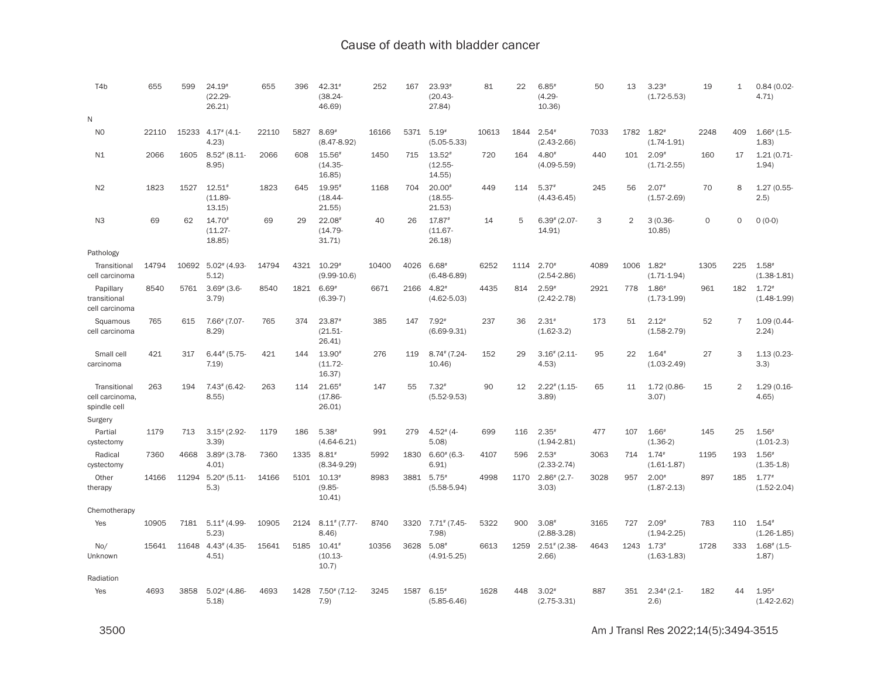| T <sub>4</sub> b                                | 655   | 599   | $24.19*$<br>$(22.29 -$<br>26.21)   | 655   | 396  | 42.31#<br>$(38.24 -$<br>46.69)               | 252   | 167  | $23.93*$<br>$(20.43 -$<br>27.84)       | 81    | 22   | $6.85*$<br>$(4.29 -$<br>10.36       | 50   | 13   | $3.23*$<br>$(1.72 - 5.53)$             | 19      | $\mathbf{1}$   | $0.84(0.02 -$<br>4.71)                |
|-------------------------------------------------|-------|-------|------------------------------------|-------|------|----------------------------------------------|-------|------|----------------------------------------|-------|------|-------------------------------------|------|------|----------------------------------------|---------|----------------|---------------------------------------|
| N                                               |       |       |                                    |       |      |                                              |       |      |                                        |       |      |                                     |      |      |                                        |         |                |                                       |
| N <sub>O</sub>                                  | 22110 | 15233 | $4.17$ <sup>#</sup> $(4.1$<br>4.23 | 22110 | 5827 | $8.69*$<br>$(8.47 - 8.92)$                   | 16166 | 5371 | $5.19*$<br>$(5.05 - 5.33)$             | 10613 | 1844 | $2.54*$<br>$(2.43 - 2.66)$          | 7033 | 1782 | $1.82*$<br>$(1.74 - 1.91)$             | 2248    | 409            | $1.66$ <sup>#</sup> (1.5-<br>1.83)    |
| N1                                              | 2066  | 1605  | $8.52$ $(8.11$<br>8.95             | 2066  | 608  | $15.56*$<br>$(14.35 -$<br>16.85)             | 1450  | 715  | $13.52*$<br>$(12.55 -$<br>14.55        | 720   | 164  | $4.80*$<br>$(4.09 - 5.59)$          | 440  | 101  | $2.09*$<br>$(1.71 - 2.55)$             | 160     | 17             | 1.21(0.71<br>1.94)                    |
| N <sub>2</sub>                                  | 1823  | 1527  | $12.51*$<br>$(11.89 -$<br>13.15)   | 1823  | 645  | $19.95*$<br>$(18.44 -$<br>21.55)             | 1168  | 704  | $20.00*$<br>$(18.55 -$<br>21.53)       | 449   | 114  | $5.37*$<br>$(4.43 - 6.45)$          | 245  | 56   | $2.07*$<br>$(1.57 - 2.69)$             | 70      | 8              | 1.27 (0.55-<br>(2.5)                  |
| N <sub>3</sub>                                  | 69    | 62    | $14.70*$<br>$(11.27 -$<br>18.85    | 69    | 29   | $22.08$ <sup>#</sup><br>$(14.79 -$<br>31.71) | 40    | 26   | 17.87#<br>$(11.67 -$<br>26.18          | 14    | 5    | $6.39^{*}$ (2.07-<br>14.91)         | 3    | 2    | $3(0.36 -$<br>10.85)                   | $\circ$ | $\Omega$       | $0(0-0)$                              |
| Pathology                                       |       |       |                                    |       |      |                                              |       |      |                                        |       |      |                                     |      |      |                                        |         |                |                                       |
| Transitional<br>cell carcinoma                  | 14794 | 10692 | $5.02$ <sup>#</sup> (4.93<br>5.12) | 14794 | 4321 | $10.29*$<br>$(9.99 - 10.6)$                  | 10400 | 4026 | $6.68*$<br>$(6.48 - 6.89)$             | 6252  | 1114 | $2.70*$<br>$(2.54 - 2.86)$          | 4089 | 1006 | $1.82*$<br>$(1.71 - 1.94)$             | 1305    | 225            | $1.58*$<br>$(1.38 - 1.81)$            |
| Papillary<br>transitional<br>cell carcinoma     | 8540  | 5761  | $3.69^*$ (3.6-<br>3.79             | 8540  | 1821 | $6.69*$<br>$(6.39-7)$                        | 6671  | 2166 | $4.82*$<br>$(4.62 - 5.03)$             | 4435  | 814  | $2.59*$<br>$(2.42 - 2.78)$          | 2921 | 778  | $1.86*$<br>$(1.73 - 1.99)$             | 961     | 182            | $1.72*$<br>$(1.48 - 1.99)$            |
| Squamous<br>cell carcinoma                      | 765   | 615   | 7.66# (7.07-<br>8.29               | 765   | 374  | $23.87*$<br>$(21.51 -$<br>26.41              | 385   | 147  | $7.92*$<br>$(6.69-9.31)$               | 237   | 36   | $2.31*$<br>$(1.62 - 3.2)$           | 173  | 51   | $2.12*$<br>$(1.58 - 2.79)$             | 52      | $\overline{7}$ | 1.09 (0.44-<br>2.24)                  |
| Small cell<br>carcinoma                         | 421   | 317   | $6.44*(5.75-$<br>7.19              | 421   | 144  | 13.90#<br>$(11.72 -$<br>16.37)               | 276   | 119  | $8.74$ $(7.24 -$<br>10.46              | 152   | 29   | $3.16$ $(2.11$<br>4.53              | 95   | 22   | $1.64*$<br>$(1.03 - 2.49)$             | 27      | 3              | 1.13 (0.23-<br>3.3)                   |
| Transitional<br>cell carcinoma,<br>spindle cell | 263   | 194   | $7.43$ (6.42-<br>8.55              | 263   | 114  | $21.65*$<br>$(17.86 -$<br>26.01              | 147   | 55   | $7.32*$<br>$(5.52 - 9.53)$             | 90    | 12   | $2.22$ <sup>#</sup> $(1.15$<br>3.89 | 65   | 11   | 1.72 (0.86-<br>3.07)                   | 15      | $\overline{2}$ | $1.29(0.16 -$<br>4.65)                |
| Surgery                                         |       |       |                                    |       |      |                                              |       |      |                                        |       |      |                                     |      |      |                                        |         |                |                                       |
| Partial<br>cystectomy                           | 1179  | 713   | $3.15$ (2.92-<br>3.39)             | 1179  | 186  | $5.38*$<br>$(4.64 - 6.21)$                   | 991   | 279  | $4.52$ <sup>#</sup> (4-<br>5.08)       | 699   | 116  | $2.35*$<br>$(1.94 - 2.81)$          | 477  | 107  | $1.66*$<br>$(1.36-2)$                  | 145     | 25             | $1.56*$<br>$(1.01-2.3)$               |
| Radical<br>cystectomy                           | 7360  | 4668  | $3.89^{*}$ (3.78-<br>4.01          | 7360  | 1335 | $8.81*$<br>$(8.34 - 9.29)$                   | 5992  | 1830 | $6.60^{*}$ (6.3-<br>6.91)              | 4107  | 596  | $2.53*$<br>$(2.33 - 2.74)$          | 3063 | 714  | $1.74$ <sup>#</sup><br>$(1.61 - 1.87)$ | 1195    | 193            | $1.56$ <sup>#</sup><br>$(1.35 - 1.8)$ |
| Other<br>therapy                                | 14166 | 11294 | $5.20^{*}$ (5.11-<br>5.3)          | 14166 | 5101 | $10.13*$<br>$(9.85 -$<br>10.41               | 8983  | 3881 | $5.75*$<br>$(5.58 - 5.94)$             | 4998  | 1170 | $2.86$ <sup>#</sup> (2.7-<br>3.03)  | 3028 | 957  | $2.00*$<br>$(1.87 - 2.13)$             | 897     | 185            | $1.77*$<br>$(1.52 - 2.04)$            |
| Chemotherapy                                    |       |       |                                    |       |      |                                              |       |      |                                        |       |      |                                     |      |      |                                        |         |                |                                       |
| Yes                                             | 10905 | 7181  | $5.11^{*}$ (4.99-<br>5.23          | 10905 | 2124 | $8.11$ <sup>#</sup> (7.77-<br>8.46           | 8740  | 3320 | $7.71$ <sup>#</sup> (7.45-<br>7.98     | 5322  | 900  | $3.08*$<br>$(2.88 - 3.28)$          | 3165 | 727  | $2.09*$<br>$(1.94 - 2.25)$             | 783     | 110            | $1.54*$<br>$(1.26 - 1.85)$            |
| No/<br>Unknown                                  | 15641 | 11648 | $4.43$ $(4.35 -$<br>4.51)          | 15641 | 5185 | $10.41*$<br>$(10.13 -$<br>10.7)              | 10356 | 3628 | $5.08*$<br>$(4.91 - 5.25)$             | 6613  | 1259 | $2.51$ # (2.38-<br>2.66)            | 4643 | 1243 | $1.73*$<br>$(1.63 - 1.83)$             | 1728    | 333            | $1.68$ <sup>#</sup> (1.5-<br>1.87)    |
| Radiation                                       |       |       |                                    |       |      |                                              |       |      |                                        |       |      |                                     |      |      |                                        |         |                |                                       |
| Yes                                             | 4693  | 3858  | $5.02$ $(4.86 -$<br>5.18           | 4693  | 1428 | $7.50$ $(7.12$<br>7.9)                       | 3245  | 1587 | $6.15$ <sup>#</sup><br>$(5.85 - 6.46)$ | 1628  | 448  | $3.02*$<br>$(2.75 - 3.31)$          | 887  | 351  | $2.34$ $(2.1 -$<br>(2.6)               | 182     | 44             | $1.95*$<br>$(1.42 - 2.62)$            |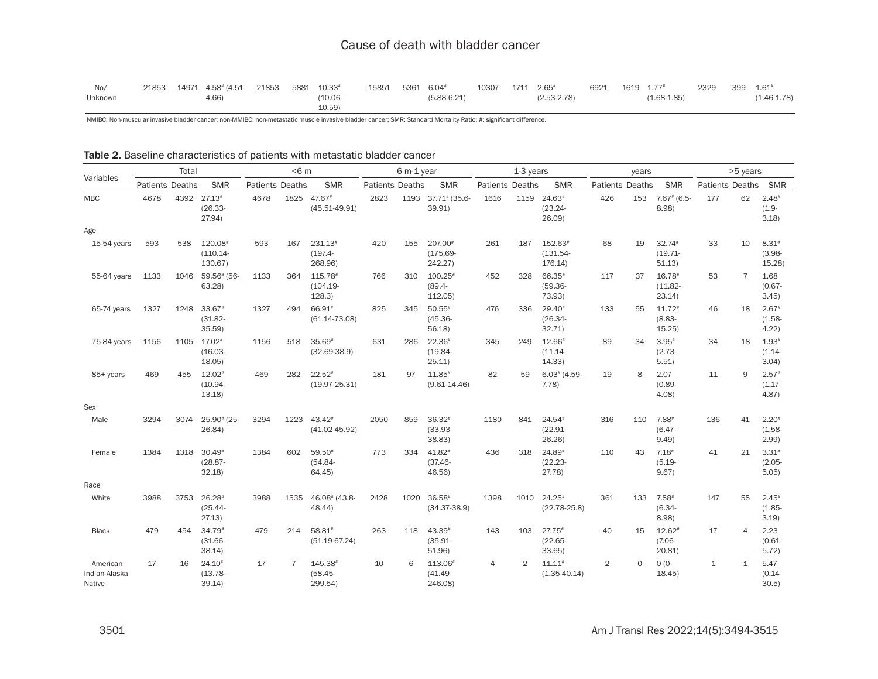| No/     | 21853 | 14971 4.58# (4.51- 21853 5881 10.33# |  |        | 15851 5361 6.04# |                 | 10307 | 1711 2.65#      | 6921 | 1619 1.77# |                 | 2329 | 399 | $1.61*$         |
|---------|-------|--------------------------------------|--|--------|------------------|-----------------|-------|-----------------|------|------------|-----------------|------|-----|-----------------|
| Unknown |       | 4.66)                                |  | 10.06- |                  | $(5.88 - 6.21)$ |       | $(2.53 - 2.78)$ |      |            | $(1.68 - 1.85)$ |      |     | $(1.46 - 1.78)$ |
|         |       |                                      |  | 10.59) |                  |                 |       |                 |      |            |                 |      |     |                 |

NMIBC: Non-muscular invasive bladder cancer; non-MMIBC: non-metastatic muscle invasive bladder cancer; SMR: Standard Mortality Ratio; #: significant difference.

|                                     |                 | Total |                                   |                 | < 6m           |                                    |                 | 6 m-1 year |                                   |                 | 1-3 years      |                                   |                 | years   |                                  |                 | >5 years       |                               |
|-------------------------------------|-----------------|-------|-----------------------------------|-----------------|----------------|------------------------------------|-----------------|------------|-----------------------------------|-----------------|----------------|-----------------------------------|-----------------|---------|----------------------------------|-----------------|----------------|-------------------------------|
| Variables                           | Patients Deaths |       | <b>SMR</b>                        | Patients Deaths |                | <b>SMR</b>                         | Patients Deaths |            | <b>SMR</b>                        | Patients Deaths |                | <b>SMR</b>                        | Patients Deaths |         | <b>SMR</b>                       | Patients Deaths |                | SMR                           |
| <b>MBC</b>                          | 4678            | 4392  | $27.13*$<br>$(26.33 -$<br>27.94)  | 4678            |                | 1825 47.67#<br>$(45.51 - 49.91)$   | 2823            | 1193       | 37.71# (35.6-<br>39.91)           | 1616            | 1159           | $24.63*$<br>$(23.24 -$<br>26.09   | 426             | 153     | $7.67$ $(6.5 -$<br>8.98          | 177             | 62             | $2.48*$<br>$(1.9 -$<br>3.18   |
| Age                                 |                 |       |                                   |                 |                |                                    |                 |            |                                   |                 |                |                                   |                 |         |                                  |                 |                |                               |
| 15-54 years                         | 593             | 538   | 120.08#<br>$(110.14 -$<br>130.67) | 593             | 167            | $231.13*$<br>$(197.4 -$<br>268.96) | 420             | 155        | 207.00#<br>$(175.69 -$<br>242.27) | 261             | 187            | 152.63#<br>$(131.54 -$<br>176.14) | 68              | 19      | $32.74*$<br>$(19.71 -$<br>51.13) | 33              | 10             | $8.31*$<br>$(3.98 -$<br>15.28 |
| 55-64 years                         | 1133            | 1046  | 59.56# (56-<br>63.28              | 1133            | 364            | 115.78#<br>$(104.19 -$<br>128.3    | 766             | 310        | $100.25*$<br>$(89.4 -$<br>112.05) | 452             | 328            | 66.35#<br>$(59.36 -$<br>73.93)    | 117             | 37      | $16.78*$<br>$(11.82 -$<br>23.14) | 53              | $\overline{7}$ | 1.68<br>$(0.67 -$<br>3.45)    |
| 65-74 years                         | 1327            | 1248  | 33.67#<br>$(31.82 -$<br>35.59     | 1327            | 494            | 66.91#<br>$(61.14 - 73.08)$        | 825             | 345        | $50.55*$<br>$(45.36 -$<br>56.18   | 476             | 336            | $29.40*$<br>$(26.34 -$<br>32.71)  | 133             | 55      | $11.72*$<br>$(8.83 -$<br>15.25)  | 46              | 18             | $2.67*$<br>$(1.58 -$<br>4.22  |
| 75-84 years                         | 1156            | 1105  | 17.02#<br>$(16.03 -$<br>18.05     | 1156            | 518            | $35.69*$<br>$(32.69 - 38.9)$       | 631             | 286        | $22.36*$<br>$(19.84 -$<br>25.11)  | 345             | 249            | 12.66#<br>$(11.14 -$<br>14.33     | 89              | 34      | $3.95*$<br>$(2.73 -$<br>5.51)    | 34              | 18             | $1.93*$<br>$(1.14 -$<br>3.04) |
| 85+ years                           | 469             | 455   | $12.02*$<br>$(10.94 -$<br>13.18   | 469             | 282            | $22.52*$<br>$(19.97 - 25.31)$      | 181             | 97         | $11.85*$<br>$(9.61 - 14.46)$      | 82              | 59             | $6.03$ # (4.59-<br>7.78)          | 19              | 8       | 2.07<br>$(0.89 -$<br>4.08        | 11              | 9              | $2.57*$<br>$(1.17 -$<br>4.87) |
| Sex                                 |                 |       |                                   |                 |                |                                    |                 |            |                                   |                 |                |                                   |                 |         |                                  |                 |                |                               |
| Male                                | 3294            | 3074  | 25.90* (25-<br>26.84              | 3294            | 1223           | 43.42#<br>$(41.02 - 45.92)$        | 2050            | 859        | $36.32*$<br>$(33.93 -$<br>38.83)  | 1180            | 841            | 24.54#<br>$(22.91 -$<br>26.26     | 316             | 110     | 7.88#<br>$(6.47 -$<br>9.49)      | 136             | 41             | $2.20*$<br>$(1.58 -$<br>2.99  |
| Female                              | 1384            | 1318  | $30.49*$<br>$(28.87 -$<br>32.18   | 1384            | 602            | $59.50*$<br>$(54.84 -$<br>64.45    | 773             | 334        | 41.82#<br>$(37.46 -$<br>46.56)    | 436             | 318            | 24.89#<br>$(22.23 -$<br>27.78)    | 110             | 43      | $7.18*$<br>$(5.19 -$<br>9.67)    | 41              | 21             | $3.31*$<br>$(2.05 -$<br>5.05  |
| Race                                |                 |       |                                   |                 |                |                                    |                 |            |                                   |                 |                |                                   |                 |         |                                  |                 |                |                               |
| White                               | 3988            | 3753  | $26.28*$<br>$(25.44 -$<br>27.13)  | 3988            | 1535           | 46.08# (43.8-<br>48.44)            | 2428            | 1020       | $36.58*$<br>$(34.37 - 38.9)$      | 1398            | 1010           | $24.25*$<br>$(22.78 - 25.8)$      | 361             | 133     | $7.58*$<br>$(6.34 -$<br>8.98     | 147             | 55             | $2.45*$<br>$(1.85 -$<br>3.19) |
| <b>Black</b>                        | 479             | 454   | $34.79*$<br>$(31.66 -$<br>38.14)  | 479             | 214            | 58.81#<br>$(51.19 - 67.24)$        | 263             | 118        | 43.39#<br>$(35.91 -$<br>51.96)    | 143             | 103            | $27.75*$<br>$(22.65 -$<br>33.65)  | 40              | 15      | $12.62*$<br>$(7.06 -$<br>20.81   | 17              | $\overline{4}$ | 2.23<br>$(0.61 -$<br>5.72)    |
| American<br>Indian-Alaska<br>Native | 17              | 16    | 24.10#<br>$(13.78 -$<br>39.14)    | 17              | $\overline{7}$ | 145.38#<br>$(58.45 -$<br>299.54)   | 10              | 6          | 113.06<br>$(41.49 -$<br>246.08)   | 4               | $\overline{2}$ | $11.11*$<br>$(1.35 - 40.14)$      | 2               | $\circ$ | $0(0 -$<br>18.45                 | $\mathbf{1}$    | $\mathbf{1}$   | 5.47<br>$(0.14 -$<br>30.5     |

Table 2. Baseline characteristics of patients with metastatic bladder cancer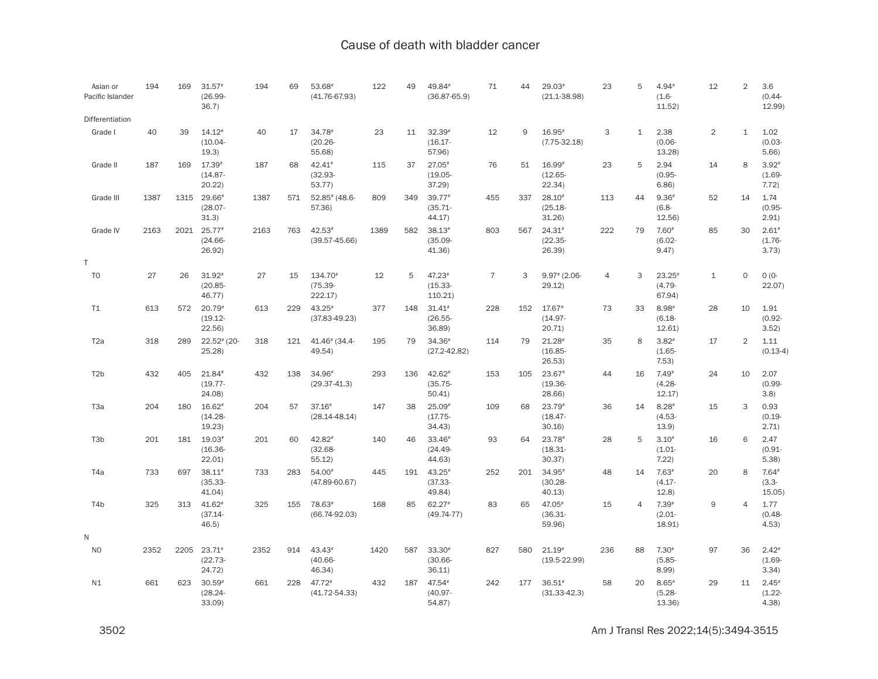| Asian or<br>Pacific Islander | 194  | 169  | $31.57*$<br>$(26.99 -$<br>36.7)             | 194  | 69  | 53.68<br>$(41.76 - 67.93)$      | 122  | 49  | 49.84#<br>$(36.87 - 65.9)$       | 71             | 44  | $29.03*$<br>$(21.1 - 38.98)$     | 23             | 5            | 4.94#<br>$(1.6 -$<br>11.52)      | 12             | $\overline{2}$ | 3.6<br>$(0.44 -$<br>12.99)    |
|------------------------------|------|------|---------------------------------------------|------|-----|---------------------------------|------|-----|----------------------------------|----------------|-----|----------------------------------|----------------|--------------|----------------------------------|----------------|----------------|-------------------------------|
| Differentiation              |      |      |                                             |      |     |                                 |      |     |                                  |                |     |                                  |                |              |                                  |                |                |                               |
| Grade I                      | 40   | 39   | $14.12*$<br>$(10.04 -$<br>19.3)             | 40   | 17  | 34.78#<br>$(20.26 -$<br>55.68)  | 23   | 11  | $32.39*$<br>$(16.17 -$<br>57.96) | 12             | 9   | $16.95*$<br>$(7.75 - 32.18)$     | 3              | $\mathbf{1}$ | 2.38<br>$(0.06 -$<br>13.28)      | $\overline{2}$ | $\mathbf{1}$   | 1.02<br>$(0.03 -$<br>5.66     |
| Grade II                     | 187  | 169  | $17.39*$<br>$(14.87 -$<br>20.22             | 187  | 68  | 42.41#<br>$(32.93 -$<br>53.77   | 115  | 37  | $27.05*$<br>$(19.05 -$<br>37.29  | 76             | 51  | 16.99#<br>$(12.65 -$<br>22.34)   | 23             | 5            | 2.94<br>$(0.95 -$<br>6.86        | 14             | 8              | $3.92*$<br>$(1.69 -$<br>7.72) |
| Grade III                    | 1387 | 1315 | 29.66#<br>$(28.07 -$<br>31.3)               | 1387 | 571 | $52.85$ $(48.6$<br>57.36)       | 809  | 349 | 39.77#<br>$(35.71 -$<br>44.17)   | 455            | 337 | $28.10*$<br>$(25.18 -$<br>31.26  | 113            | 44           | $9.36*$<br>$(6.8 -$<br>$12.56$ ) | 52             | 14             | 1.74<br>$(0.95 -$<br>2.91)    |
| Grade IV                     | 2163 | 2021 | $25.77*$<br>$(24.66 -$<br>26.92)            | 2163 | 763 | $42.53*$<br>$(39.57 - 45.66)$   | 1389 | 582 | $38.13*$<br>$(35.09 -$<br>41.36) | 803            | 567 | $24.31*$<br>$(22.35 -$<br>26.39) | 222            | 79           | $7.60*$<br>$(6.02 -$<br>9.47)    | 85             | 30             | $2.61*$<br>$(1.76 -$<br>3.73) |
| Τ                            |      |      |                                             |      |     |                                 |      |     |                                  |                |     |                                  |                |              |                                  |                |                |                               |
| T <sub>0</sub>               | 27   | 26   | $31.92*$<br>$(20.85 -$<br>46.77)            | 27   | 15  | 134.70#<br>$(75.39 -$<br>222.17 | 12   | 5   | 47.23#<br>$(15.33 -$<br>110.21)  | $\overline{7}$ | 3   | $9.97$ # (2.06-<br>29.12)        | $\overline{4}$ | 3            | $23.25*$<br>$(4.79 -$<br>67.94)  | $\mathbf{1}$   | $\Omega$       | $O(0 -$<br>22.07)             |
| T1                           | 613  | 572  | $20.79*$<br>$(19.12 -$<br>22.56)            | 613  | 229 | $43.25*$<br>$(37.83 - 49.23)$   | 377  | 148 | $31.41*$<br>$(26.55 -$<br>36.89) | 228            | 152 | 17.67#<br>$(14.97 -$<br>20.71)   | 73             | 33           | $8.98*$<br>$(6.18 -$<br>12.61    | 28             | 10             | 1.91<br>$(0.92 -$<br>3.52)    |
| T <sub>2</sub> a             | 318  | 289  | $22.52$ # (20-<br>25.28                     | 318  | 121 | 41.46 * (34.4-<br>49.54)        | 195  | 79  | 34.36#<br>$(27.2 - 42.82)$       | 114            | 79  | $21.28*$<br>$(16.85 -$<br>26.53) | 35             | 8            | $3.82*$<br>$(1.65 -$<br>7.53)    | 17             | $\overline{2}$ | 1.11<br>$(0.13-4)$            |
| T <sub>2</sub> b             | 432  | 405  | 21.84#<br>$(19.77 -$<br>24.08)              | 432  | 138 | 34.96#<br>$(29.37 - 41.3)$      | 293  | 136 | 42.62#<br>$(35.75 -$<br>50.41    | 153            | 105 | $23.67*$<br>$(19.36 -$<br>28.66) | 44             | 16           | $7.49*$<br>$(4.28 -$<br>12.17)   | 24             | 10             | 2.07<br>$(0.99 -$<br>3.8)     |
| T <sub>3</sub> a             | 204  | 180  | $16.62*$<br>$(14.28 -$<br>19.23)            | 204  | 57  | $37.16*$<br>$(28.14 - 48.14)$   | 147  | 38  | $25.09*$<br>$(17.75 -$<br>34.43) | 109            | 68  | $23.79*$<br>$(18.47 -$<br>30.16  | 36             | 14           | $8.28*$<br>$(4.53 -$<br>13.9)    | 15             | 3              | 0.93<br>$(0.19 -$<br>2.71)    |
| T3b                          | 201  | 181  | $19.03*$<br>(16.36<br>22.01                 | 201  | 60  | 42.82#<br>$(32.68 -$<br>55.12   | 140  | 46  | 33.46#<br>$(24.49 -$<br>44.63)   | 93             | 64  | 23.78#<br>$(18.31 -$<br>30.37)   | 28             | 5            | $3.10*$<br>$(1.01 -$<br>7.22     | 16             | 6              | 2.47<br>$(0.91 -$<br>5.38     |
| T4a                          | 733  | 697  | $38.11*$<br>$(35.33 -$<br>41.04)            | 733  | 283 | 54.00#<br>$(47.89 - 60.67)$     | 445  | 191 | 43.25#<br>$(37.33 -$<br>49.84)   | 252            | 201 | $34.95*$<br>$(30.28 -$<br>40.13) | 48             | 14           | $7.63*$<br>$(4.17 -$<br>12.8)    | 20             | 8              | $7.64*$<br>$(3.3 -$<br>15.05) |
| T <sub>4</sub> b             | 325  | 313  | $41.62$ <sup>#</sup><br>$(37.14 -$<br>46.5) | 325  | 155 | 78.63#<br>$(66.74 - 92.03)$     | 168  | 85  | $62.27*$<br>$(49.74 - 77)$       | 83             | 65  | 47.05#<br>$(36.31 -$<br>59.96)   | 15             | 4            | $7.39*$<br>$(2.01 -$<br>18.91)   | 9              | $\overline{4}$ | 1.77<br>$(0.48 -$<br>4.53)    |
| Ν                            |      |      |                                             |      |     |                                 |      |     |                                  |                |     |                                  |                |              |                                  |                |                |                               |
| N <sub>0</sub>               | 2352 | 2205 | $23.71*$<br>$(22.73 -$<br>24.72)            | 2352 | 914 | 43.43#<br>$(40.66 -$<br>46.34)  | 1420 | 587 | 33.30#<br>$(30.66 -$<br>36.11)   | 827            | 580 | $21.19*$<br>$(19.5 - 22.99)$     | 236            | 88           | $7.30*$<br>$(5.85 -$<br>8.99)    | 97             | 36             | $2.42*$<br>$(1.69 -$<br>3.34) |
| N1                           | 661  | 623  | $30.59*$<br>$(28.24 -$<br>33.09             | 661  | 228 | $47.72*$<br>$(41.72 - 54.33)$   | 432  | 187 | 47.54#<br>$(40.97 -$<br>54.87)   | 242            | 177 | $36.51*$<br>$(31.33 - 42.3)$     | 58             | 20           | $8.65*$<br>$(5.28 -$<br>13.36)   | 29             | 11             | $2.45*$<br>$(1.22 -$<br>4.38  |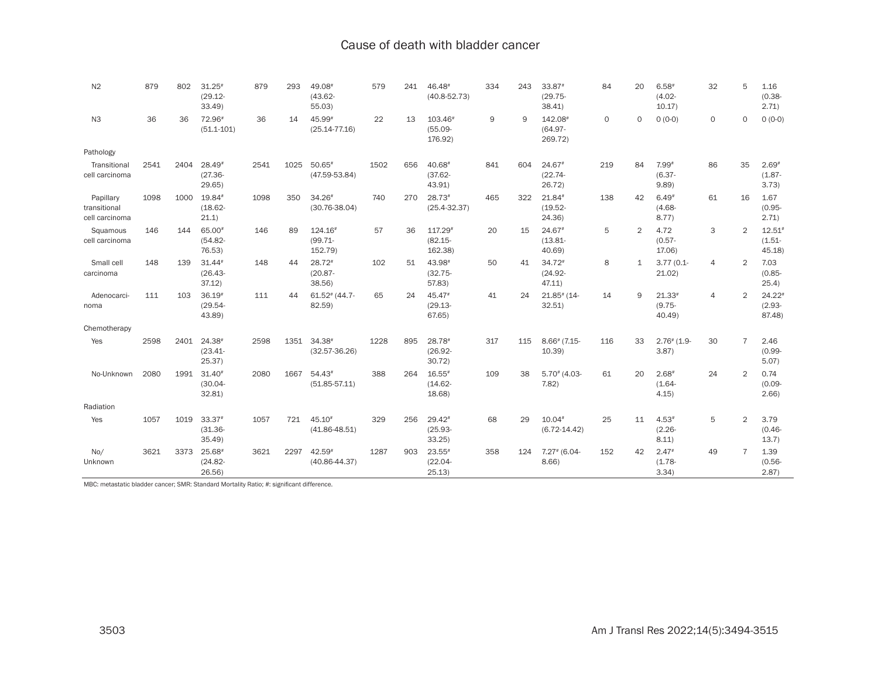| N2                                          | 879  | 802  | $31.25*$<br>$(29.12 -$<br>33.49  | 879  | 293  | 49.08<br>$(43.62 -$<br>55.03)    | 579  | 241 | 46.48<br>$(40.8 - 52.73)$        | 334 | 243 | 33.87#<br>$(29.75 -$<br>38.41      | 84          | 20             | $6.58*$<br>$(4.02 -$<br>10.17)  | 32             | 5              | 1.16<br>$(0.38 -$<br>2.71)      |
|---------------------------------------------|------|------|----------------------------------|------|------|----------------------------------|------|-----|----------------------------------|-----|-----|------------------------------------|-------------|----------------|---------------------------------|----------------|----------------|---------------------------------|
| N <sub>3</sub>                              | 36   | 36   | 72.96<br>$(51.1 - 101)$          | 36   | 14   | 45.99#<br>$(25.14 - 77.16)$      | 22   | 13  | 103.46#<br>$(55.09 -$<br>176.92) | 9   | 9   | 142.08#<br>$(64.97 -$<br>269.72)   | $\mathbf 0$ | $\Omega$       | $0(0-0)$                        | 0              | $\circ$        | $0(0-0)$                        |
| Pathology                                   |      |      |                                  |      |      |                                  |      |     |                                  |     |     |                                    |             |                |                                 |                |                |                                 |
| Transitional<br>cell carcinoma              | 2541 | 2404 | 28.49#<br>$(27.36 -$<br>29.65    | 2541 | 1025 | $50.65*$<br>$(47.59 - 53.84)$    | 1502 | 656 | 40.68<br>$(37.62 -$<br>43.91)    | 841 | 604 | 24.67#<br>$(22.74 -$<br>26.72)     | 219         | 84             | 7.99#<br>$(6.37 -$<br>9.89      | 86             | 35             | $2.69*$<br>$(1.87 -$<br>3.73)   |
| Papillary<br>transitional<br>cell carcinoma | 1098 | 1000 | 19.84#<br>$(18.62 -$<br>21.1)    | 1098 | 350  | $34.26*$<br>$(30.76 - 38.04)$    | 740  | 270 | $28.73*$<br>$(25.4 - 32.37)$     | 465 | 322 | 21.84#<br>$(19.52 -$<br>24.36)     | 138         | 42             | $6.49*$<br>$(4.68 -$<br>8.77)   | 61             | 16             | 1.67<br>$(0.95 -$<br>2.71)      |
| Squamous<br>cell carcinoma                  | 146  | 144  | 65.00<br>$(54.82 -$<br>76.53)    | 146  | 89   | 124.16#<br>$(99.71 -$<br>152.79) | 57   | 36  | 117.29#<br>$(82.15 -$<br>162.38) | 20  | 15  | $24.67*$<br>$(13.81 -$<br>40.69    | 5           | $\overline{2}$ | 4.72<br>$(0.57 -$<br>17.06)     | 3              | 2              | $12.51*$<br>$(1.51 -$<br>45.18  |
| Small cell<br>carcinoma                     | 148  | 139  | $31.44*$<br>$(26.43 -$<br>37.12) | 148  | 44   | 28.72#<br>$(20.87 -$<br>38.56)   | 102  | 51  | 43.98#<br>$(32.75 -$<br>57.83    | 50  | 41  | $34.72*$<br>$(24.92 -$<br>47.11    | 8           | $\mathbf{1}$   | $3.77(0.1 -$<br>21.02)          | $\overline{4}$ | $\overline{2}$ | 7.03<br>$(0.85 -$<br>25.4)      |
| Adenocarci-<br>noma                         | 111  | 103  | $36.19*$<br>$(29.54 -$<br>43.89) | 111  | 44   | $61.52$ # (44.7-<br>82.59        | 65   | 24  | 45.47#<br>$(29.13 -$<br>67.65    | 41  | 24  | $21.85$ <sup>#</sup> (14-<br>32.51 | 14          | 9              | $21.33*$<br>$(9.75 -$<br>40.49) | $\overline{4}$ | $\overline{2}$ | $24.22*$<br>$(2.93 -$<br>87.48) |
| Chemotherapy                                |      |      |                                  |      |      |                                  |      |     |                                  |     |     |                                    |             |                |                                 |                |                |                                 |
| Yes                                         | 2598 | 2401 | 24.38#<br>$(23.41 -$<br>25.37    | 2598 | 1351 | $34.38*$<br>$(32.57 - 36.26)$    | 1228 | 895 | 28.78#<br>$(26.92 -$<br>30.72    | 317 | 115 | $8.66$ $(7.15 -$<br>10.39)         | 116         | 33             | $2.76$ $(1.9 -$<br>3.87)        | 30             | $\overline{7}$ | 2.46<br>$(0.99 -$<br>5.07       |
| No-Unknown                                  | 2080 | 1991 | $31.40*$<br>$(30.04 -$<br>32.81  | 2080 | 1667 | $54.43*$<br>$(51.85 - 57.11)$    | 388  | 264 | $16.55*$<br>$(14.62 -$<br>18.68) | 109 | 38  | $5.70*(4.03 -$<br>7.82             | 61          | 20             | $2.68*$<br>$(1.64 -$<br>4.15)   | 24             | $\overline{2}$ | 0.74<br>$(0.09 -$<br>2.66       |
| Radiation                                   |      |      |                                  |      |      |                                  |      |     |                                  |     |     |                                    |             |                |                                 |                |                |                                 |
| Yes                                         | 1057 | 1019 | $33.37*$<br>$(31.36 -$<br>35.49  | 1057 | 721  | 45.10#<br>$(41.86 - 48.51)$      | 329  | 256 | $29.42*$<br>$(25.93 -$<br>33.25  | 68  | 29  | $10.04*$<br>$(6.72 - 14.42)$       | 25          | 11             | $4.53*$<br>$(2.26 -$<br>8.11)   | 5              | 2              | 3.79<br>$(0.46 -$<br>13.7)      |
| No/<br>Unknown                              | 3621 | 3373 | 25.68<br>$(24.82 -$<br>26.56     | 3621 | 2297 | $42.59*$<br>$(40.86 - 44.37)$    | 1287 | 903 | $23.55*$<br>$(22.04 -$<br>25.13) | 358 | 124 | $7.27$ # (6.04-<br>$8.66$ )        | 152         | 42             | $2.47*$<br>$(1.78 -$<br>3.34)   | 49             | $\overline{7}$ | 1.39<br>$(0.56 -$<br>2.87)      |

MBC: metastatic bladder cancer; SMR: Standard Mortality Ratio; #: significant difference.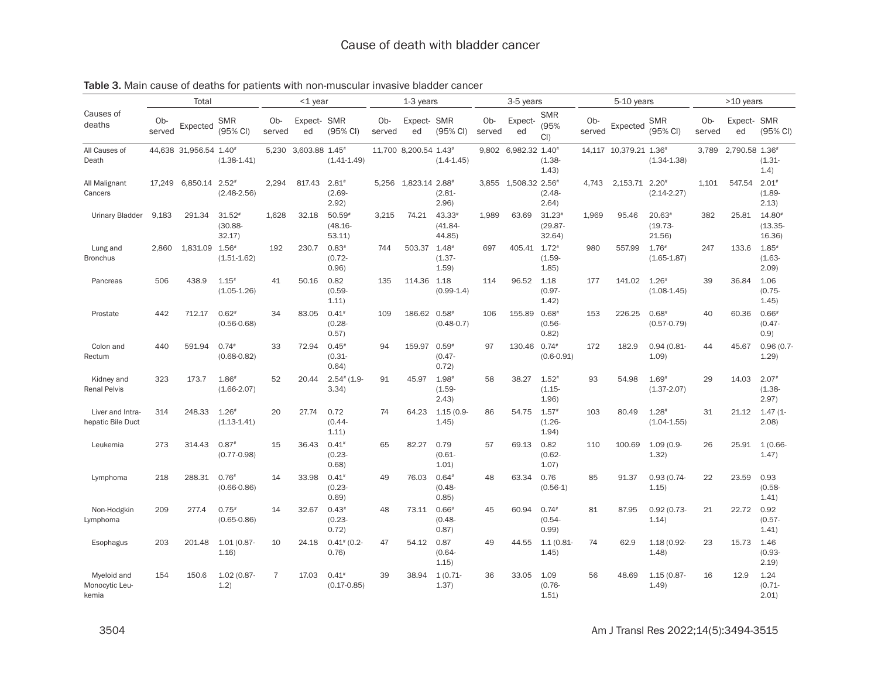|                                        |               | Total                  |                                        |                | $<$ 1 year        |                                    |               | 1-3 years             |                                  |               | 3-5 years           |                                  |               | 5-10 years             |                                        |               | >10 years         |                                           |
|----------------------------------------|---------------|------------------------|----------------------------------------|----------------|-------------------|------------------------------------|---------------|-----------------------|----------------------------------|---------------|---------------------|----------------------------------|---------------|------------------------|----------------------------------------|---------------|-------------------|-------------------------------------------|
| Causes of<br>deaths                    | Ob-<br>served | Expected               | <b>SMR</b><br>(95% CI)                 | Ob-<br>served  | Expect- SMR<br>ed | (95% CI)                           | Ob-<br>served | Expect-SMR<br>ed      | (95% CI)                         | Ob-<br>served | Expect-<br>ed       | <b>SMR</b><br>(95%<br>$Cl$ )     | Ob-<br>served | Expected               | <b>SMR</b><br>(95% CI)                 | Ob-<br>served | Expect- SMR<br>ed | (95% CI)                                  |
| All Causes of<br>Death                 |               | 44,638 31,956.54 1.40* | $(1.38 - 1.41)$                        | 5.230          | 3,603.88 1.45#    | $(1.41 - 1.49)$                    |               | 11,700 8,200.54 1.43# | $(1.4 - 1.45)$                   | 9.802         | 6,982.32 1.40#      | $(1.38 -$<br>1.43)               |               | 14,117 10,379.21 1.36# | $(1.34 - 1.38)$                        | 3,789         | 2,790.58 1.36#    | $(1.31 -$<br>(1.4)                        |
| All Malignant<br>Cancers               | 17.249        | 6.850.14               | $2.52*$<br>$(2.48 - 2.56)$             | 2.294          | 817.43            | $2.81*$<br>$(2.69 -$<br>2.92)      |               | 5.256 1.823.14 2.88#  | $(2.81 -$<br>2.96                |               | 3.855 1.508.32 2.56 | $(2.48 -$<br>2.64)               | 4.743         | 2.153.71               | $2.20*$<br>$(2.14 - 2.27)$             | 1.101         | 547.54            | $2.01*$<br>$(1.89 -$<br>2.13)             |
| <b>Urinary Bladder</b>                 | 9,183         | 291.34                 | $31.52*$<br>$(30.88 -$<br>32.17)       | 1.628          | 32.18             | $50.59*$<br>$(48.16 -$<br>53.11    | 3.215         | 74.21                 | $43.33*$<br>$(41.84 -$<br>44.85) | 1.989         | 63.69               | $31.23*$<br>$(29.87 -$<br>32.64) | 1.969         | 95.46                  | $20.63*$<br>$(19.73 -$<br>21.56)       | 382           | 25.81             | 14.80#<br>(13.35)<br>16.36                |
| Lung and<br><b>Bronchus</b>            | 2.860         | 1.831.09               | $1.56*$<br>$(1.51 - 1.62)$             | 192            | 230.7             | $0.83*$<br>$(0.72 -$<br>0.96       | 744           | 503.37                | $1.48*$<br>$(1.37 -$<br>1.59     | 697           | 405.41 1.72#        | $(1.59 -$<br>1.85                | 980           | 557.99                 | $1.76*$<br>$(1.65 - 1.87)$             | 247           | 133.6             | $1.85*$<br>$(1.63 -$<br>2.09              |
| Pancreas                               | 506           | 438.9                  | $1.15$ <sup>#</sup><br>$(1.05 - 1.26)$ | 41             | 50.16             | 0.82<br>$(0.59 -$<br>1.11)         | 135           | 114.36 1.18           | $(0.99-1.4)$                     | 114           | 96.52               | 1.18<br>$(0.97 -$<br>1.42        | 177           | 141.02                 | $1.26$ <sup>#</sup><br>$(1.08 - 1.45)$ | 39            | 36.84             | 1.06<br>$(0.75 -$<br>1.45)                |
| Prostate                               | 442           | 712.17                 | $0.62*$<br>$(0.56 - 0.68)$             | 34             | 83.05             | $0.41*$<br>$(0.28 -$<br>0.57)      | 109           | 186.62 0.58           | $(0.48 - 0.7)$                   | 106           | 155.89 0.68#        | $(0.56 -$<br>0.82)               | 153           | 226.25                 | $0.68*$<br>$(0.57 - 0.79)$             | 40            | 60.36             | $0.66$ <sup>#</sup><br>$(0.47 -$<br>0.9)  |
| Colon and<br>Rectum                    | 440           | 591.94                 | $0.74*$<br>$(0.68 - 0.82)$             | 33             | 72.94             | $0.45*$<br>$(0.31 -$<br>0.64       | 94            | 159.97                | $0.59*$<br>$(0.47 -$<br>0.72)    | 97            | 130.46 0.74#        | $(0.6 - 0.91)$                   | 172           | 182.9                  | $0.94(0.81 -$<br>1.09                  | 44            | 45.67             | $0.96(0.7 -$<br>1.29                      |
| Kidney and<br><b>Renal Pelvis</b>      | 323           | 173.7                  | $1.86*$<br>$(1.66 - 2.07)$             | 52             | 20.44             | $2.54$ <sup>#</sup> (1.9-<br>3.34) | 91            | 45.97                 | $1.98*$<br>$(1.59 -$<br>2.43)    | 58            | 38.27               | $1.52*$<br>$(1.15 -$<br>1.96     | 93            | 54.98                  | $1.69*$<br>$(1.37 - 2.07)$             | 29            | 14.03             | $2.07$ <sup>#</sup><br>$(1.38 -$<br>2.97) |
| Liver and Intra-<br>hepatic Bile Duct  | 314           | 248.33                 | $1.26*$<br>$(1.13 - 1.41)$             | 20             | 27.74             | 0.72<br>$(0.44 -$<br>1.11)         | 74            | 64.23                 | $1.15(0.9 -$<br>1.45             | 86            | 54.75               | $1.57*$<br>$(1.26 -$<br>1.94)    | 103           | 80.49                  | $1.28*$<br>$(1.04 - 1.55)$             | 31            | 21.12             | $1.47(1 -$<br>2.08                        |
| Leukemia                               | 273           | 314.43                 | $0.87*$<br>$(0.77 - 0.98)$             | 15             | 36.43             | $0.41*$<br>$(0.23 -$<br>0.68       | 65            | 82.27                 | 0.79<br>$(0.61 -$<br>1.01        | 57            | 69.13               | 0.82<br>$(0.62 -$<br>1.07)       | 110           | 100.69                 | $1.09(0.9 -$<br>1.32)                  | 26            | 25.91             | $1(0.66 -$<br>1.47)                       |
| Lymphoma                               | 218           | 288.31                 | $0.76*$<br>$(0.66 - 0.86)$             | 14             | 33.98             | $0.41*$<br>$(0.23 -$<br>0.69)      | 49            | 76.03                 | $0.64*$<br>$(0.48 -$<br>0.85)    | 48            | 63.34               | 0.76<br>$(0.56-1)$               | 85            | 91.37                  | $0.93(0.74 -$<br>1.15)                 | 22            | 23.59             | 0.93<br>$(0.58 -$<br>1.41                 |
| Non-Hodgkin<br>Lymphoma                | 209           | 277.4                  | $0.75*$<br>$(0.65 - 0.86)$             | 14             | 32.67             | $0.43*$<br>$(0.23 -$<br>0.72)      | 48            | 73.11 0.66#           | $(0.48 -$<br>0.87)               | 45            | 60.94               | $0.74*$<br>$(0.54 -$<br>0.99)    | 81            | 87.95                  | $0.92(0.73 -$<br>1.14)                 | 21            | 22.72             | 0.92<br>$(0.57 -$<br>1.41)                |
| Esophagus                              | 203           | 201.48                 | $1.01(0.87 -$<br>1.16                  | 10             | 24.18             | $0.41^{*}$ (0.2-<br>0.76)          | 47            | 54.12                 | 0.87<br>$(0.64 -$<br>1.15)       | 49            | 44.55               | $1.1(0.81 -$<br>1.45             | 74            | 62.9                   | 1.18 (0.92-<br>1.48                    | 23            | 15.73             | 1.46<br>$(0.93 -$<br>2.19)                |
| Myeloid and<br>Monocytic Leu-<br>kemia | 154           | 150.6                  | $1.02(0.87 -$<br>1.2)                  | $\overline{7}$ | 17.03             | $0.41*$<br>$(0.17 - 0.85)$         | 39            | 38.94                 | $1(0.71 -$<br>1.37)              | 36            | 33.05               | 1.09<br>$(0.76 -$<br>1.51        | 56            | 48.69                  | 1.15 (0.87-<br>1.49                    | 16            | 12.9              | 1.24<br>$(0.71 -$<br>2.01                 |

# Table 3. Main cause of deaths for patients with non-muscular invasive bladder cancer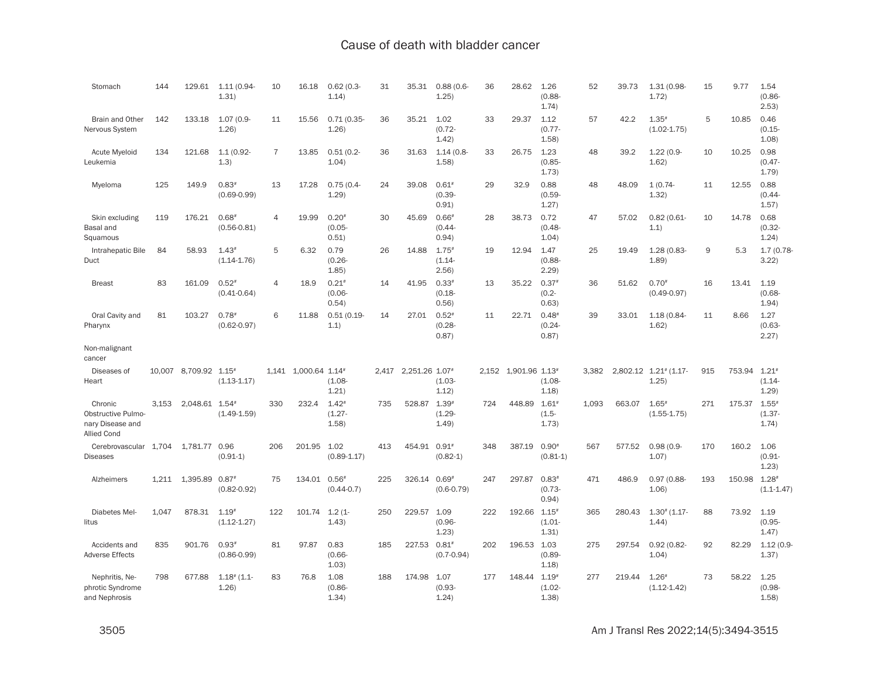| Stomach                                                                        | 144   | 129.61               | $1.11(0.94 -$<br>1.31)                 | 10             | 16.18                | $0.62(0.3 -$<br>1.14)         | 31  | 35.31                | 0.88(0.6<br>1.25)             | 36  | 28.62                | 1.26<br>$(0.88 -$<br>1.74)                | 52    | 39.73  | $1.31(0.98 -$<br>1.72)         | 15  | 9.77         | 1.54<br>$(0.86 -$<br>2.53)    |
|--------------------------------------------------------------------------------|-------|----------------------|----------------------------------------|----------------|----------------------|-------------------------------|-----|----------------------|-------------------------------|-----|----------------------|-------------------------------------------|-------|--------|--------------------------------|-----|--------------|-------------------------------|
| <b>Brain and Other</b><br>Nervous System                                       | 142   | 133.18               | 1.07 (0.9-<br>1.26                     | 11             | 15.56                | 0.71(0.35)<br>1.26            | 36  | 35.21                | 1.02<br>$(0.72 -$<br>1.42)    | 33  | 29.37                | 1.12<br>$(0.77 -$<br>1.58                 | 57    | 42.2   | $1.35*$<br>$(1.02 - 1.75)$     | 5   | 10.85        | 0.46<br>$(0.15 -$<br>1.08     |
| <b>Acute Myeloid</b><br>Leukemia                                               | 134   | 121.68               | $1.1(0.92 -$<br>(1.3)                  | $\overline{7}$ | 13.85                | $0.51(0.2 -$<br>1.04          | 36  | 31.63                | $1.14(0.8 -$<br>1.58          | 33  | 26.75                | 1.23<br>$(0.85 -$<br>1.73)                | 48    | 39.2   | $1.22(0.9 -$<br>1.62)          | 10  | 10.25        | 0.98<br>$(0.47 -$<br>1.79     |
| Myeloma                                                                        | 125   | 149.9                | $0.83*$<br>$(0.69 - 0.99)$             | 13             | 17.28                | $0.75(0.4 -$<br>1.29          | 24  | 39.08                | $0.61*$<br>$(0.39 -$<br>0.91) | 29  | 32.9                 | 0.88<br>$(0.59 -$<br>1.27)                | 48    | 48.09  | $1(0.74 -$<br>1.32)            | 11  | 12.55        | 0.88<br>$(0.44 -$<br>1.57)    |
| Skin excluding<br>Basal and<br>Squamous                                        | 119   | 176.21               | $0.68*$<br>$(0.56 - 0.81)$             | $\overline{4}$ | 19.99                | $0.20*$<br>$(0.05 -$<br>0.51) | 30  | 45.69                | $0.66*$<br>$(0.44 -$<br>0.94) | 28  | 38.73                | 0.72<br>$(0.48 -$<br>1.04)                | 47    | 57.02  | $0.82(0.61 -$<br>1.1)          | 10  | 14.78        | 0.68<br>$(0.32 -$<br>1.24)    |
| Intrahepatic Bile<br>Duct                                                      | 84    | 58.93                | $1.43*$<br>$(1.14 - 1.76)$             | 5              | 6.32                 | 0.79<br>$(0.26 -$<br>1.85)    | 26  | 14.88                | $1.75*$<br>$(1.14 -$<br>2.56) | 19  | 12.94                | 1.47<br>$(0.88 -$<br>2.29                 | 25    | 19.49  | 1.28 (0.83-<br>1.89            | 9   | 5.3          | 1.7(0.78<br>3.22              |
| <b>Breast</b>                                                                  | 83    | 161.09               | $0.52*$<br>$(0.41 - 0.64)$             | $\overline{4}$ | 18.9                 | $0.21*$<br>$(0.06 -$<br>0.54) | 14  | 41.95                | $0.33*$<br>$(0.18 -$<br>0.56  | 13  | 35.22                | $0.37*$<br>$(0.2 -$<br>0.63               | 36    | 51.62  | $0.70*$<br>$(0.49 - 0.97)$     | 16  | 13.41        | 1.19<br>$(0.68 -$<br>1.94)    |
| Oral Cavity and<br>Pharynx                                                     | 81    | 103.27               | $0.78$ <sup>#</sup><br>$(0.62 - 0.97)$ | 6              | 11.88                | 0.51(0.19<br>1.1)             | 14  | 27.01                | $0.52*$<br>$(0.28 -$<br>0.87) | 11  | 22.71                | $0.48*$<br>$(0.24 -$<br>0.87)             | 39    | 33.01  | 1.18 (0.84-<br>1.62)           | 11  | 8.66         | 1.27<br>$(0.63 -$<br>2.27)    |
| Non-malignant<br>cancer                                                        |       |                      |                                        |                |                      |                               |     |                      |                               |     |                      |                                           |       |        |                                |     |              |                               |
| Diseases of<br>Heart                                                           |       | 10.007 8.709.92 1.15 | $(1.13 - 1.17)$                        |                | 1.141 1.000.64 1.14# | $(1.08 -$<br>1.21)            |     | 2.417 2.251.26 1.07# | $(1.03 -$<br>1.12)            |     | 2.152 1.901.96 1.13# | $(1.08 -$<br>1.18                         | 3,382 |        | 2,802.12 1.21# (1.17-<br>1.25) | 915 | 753.94 1.21# | $(1.14 -$<br>1.29             |
| Chronic<br><b>Obstructive Pulmo-</b><br>nary Disease and<br><b>Allied Cond</b> | 3.153 | 2,048.61 1.54#       | $(1.49 - 1.59)$                        | 330            | 232.4                | $1.42*$<br>$(1.27 -$<br>1.58  | 735 | 528.87               | $1.39*$<br>$(1.29 -$<br>1.49  | 724 | 448.89               | $1.61*$<br>$(1.5 -$<br>1.73)              | 1.093 | 663.07 | $1.65*$<br>$(1.55 - 1.75)$     | 271 | 175.37       | $1.55*$<br>$(1.37 -$<br>1.74) |
| Cerebrovascular 1,704<br><b>Diseases</b>                                       |       | 1.781.77 0.96        | $(0.91-1)$                             | 206            | 201.95               | 1.02<br>$(0.89 - 1.17)$       | 413 | 454.91 0.91          | $(0.82 - 1)$                  | 348 | 387.19               | $0.90*$<br>$(0.81-1)$                     | 567   | 577.52 | $0.98(0.9 -$<br>1.07)          | 170 | 160.2        | 1.06<br>$(0.91 -$<br>1.23)    |
| Alzheimers                                                                     | 1.211 | 1,395.89             | $0.87*$<br>$(0.82 - 0.92)$             | 75             | 134.01 0.56#         | $(0.44 - 0.7)$                | 225 | 326.14               | $0.69*$<br>$(0.6 - 0.79)$     | 247 | 297.87               | $0.83*$<br>$(0.73 -$<br>0.94)             | 471   | 486.9  | $0.97(0.88 -$<br>1.06          | 193 | 150.98       | $1.28*$<br>$(1.1 - 1.47)$     |
| Diabetes Mel-<br>litus                                                         | 1.047 | 878.31               | $1.19*$<br>$(1.12 - 1.27)$             | 122            | 101.74               | $1.2(1 -$<br>1.43)            | 250 | 229.57               | 1.09<br>$(0.96 -$<br>1.23     | 222 | 192.66               | $1.15$ <sup>#</sup><br>$(1.01 -$<br>1.31) | 365   | 280.43 | $1.30^{*}$ (1.17-<br>1.44      | 88  | 73.92        | 1.19<br>$(0.95 -$<br>1.47)    |
| Accidents and<br><b>Adverse Effects</b>                                        | 835   | 901.76               | $0.93*$<br>$(0.86 - 0.99)$             | 81             | 97.87                | 0.83<br>$(0.66 -$<br>1.03)    | 185 | 227.53               | $0.81*$<br>$(0.7 - 0.94)$     | 202 | 196.53 1.03          | $(0.89 -$<br>1.18                         | 275   | 297.54 | $0.92(0.82 -$<br>1.04)         | 92  | 82.29        | $1.12(0.9 -$<br>1.37)         |
| Nephritis, Ne-<br>phrotic Syndrome<br>and Nephrosis                            | 798   | 677.88               | $1.18^{*}$ (1.1-<br>1.26               | 83             | 76.8                 | 1.08<br>$(0.86 -$<br>1.34     | 188 | 174.98               | 1.07<br>$(0.93 -$<br>1.24     | 177 | 148.44               | $1.19*$<br>$(1.02 -$<br>1.38              | 277   | 219.44 | $1.26*$<br>$(1.12 - 1.42)$     | 73  | 58.22        | 1.25<br>$(0.98 -$<br>1.58     |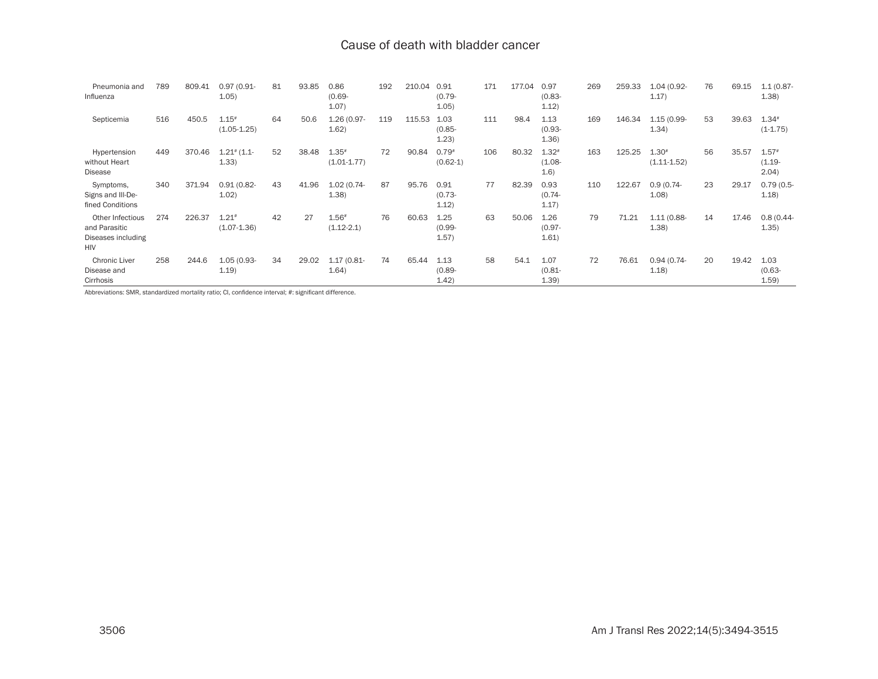| Pneumonia and<br>Influenza                                            | 789 | 809.41 | $0.97(0.91 -$<br>1.05)                 | 81 | 93.85 | 0.86<br>$(0.69 -$<br>1.07) | 192 | 210.04 | 0.91<br>$(0.79 -$<br>1.05) | 171 | 177.04 | 0.97<br>$(0.83 -$<br>1.12)   | 269 | 259.33 | 1.04 (0.92-<br>1.17)       | 76 | 69.15 | $1.1(0.87 -$<br>1.38          |
|-----------------------------------------------------------------------|-----|--------|----------------------------------------|----|-------|----------------------------|-----|--------|----------------------------|-----|--------|------------------------------|-----|--------|----------------------------|----|-------|-------------------------------|
| Septicemia                                                            | 516 | 450.5  | $1.15*$<br>$(1.05 - 1.25)$             | 64 | 50.6  | 1.26 (0.97-<br>1.62)       | 119 | 115.53 | 1.03<br>$(0.85 -$<br>1.23) | 111 | 98.4   | 1.13<br>$(0.93 -$<br>1.36)   | 169 | 146.34 | 1.15 (0.99-<br>1.34)       | 53 | 39.63 | $1.34*$<br>$(1-1.75)$         |
| Hypertension<br>without Heart<br>Disease                              | 449 | 370.46 | $1.21$ <sup>#</sup> $(1.1 -$<br>(1.33) | 52 | 38.48 | $1.35*$<br>$(1.01 - 1.77)$ | 72  | 90.84  | $0.79*$<br>$(0.62-1)$      | 106 | 80.32  | $1.32*$<br>$(1.08 -$<br>1.6) | 163 | 125.25 | $1.30*$<br>$(1.11 - 1.52)$ | 56 | 35.57 | $1.57*$<br>$(1.19 -$<br>2.04) |
| Symptoms,<br>Signs and III-De-<br>fined Conditions                    | 340 | 371.94 | $0.91(0.82 -$<br>1.02)                 | 43 | 41.96 | $1.02(0.74 -$<br>1.38)     | 87  | 95.76  | 0.91<br>$(0.73 -$<br>1.12) | 77  | 82.39  | 0.93<br>$(0.74 -$<br>1.17)   | 110 | 122.67 | $0.9(0.74 -$<br>1.08       | 23 | 29.17 | $0.79(0.5 -$<br>1.18          |
| Other Infectious<br>and Parasitic<br>Diseases including<br><b>HIV</b> | 274 | 226.37 | $1.21*$<br>$(1.07 - 1.36)$             | 42 | 27    | $1.56*$<br>$(1.12 - 2.1)$  | 76  | 60.63  | 1.25<br>$(0.99 -$<br>1.57) | 63  | 50.06  | 1.26<br>$(0.97 -$<br>1.61)   | 79  | 71.21  | $1.11(0.88 -$<br>1.38      | 14 | 17.46 | $0.8(0.44 -$<br>1.35)         |
| <b>Chronic Liver</b><br>Disease and<br>Cirrhosis                      | 258 | 244.6  | 1.05 (0.93-<br>1.19)                   | 34 | 29.02 | $1.17(0.81 -$<br>1.64)     | 74  | 65.44  | 1.13<br>$(0.89 -$<br>1.42) | 58  | 54.1   | 1.07<br>$(0.81 -$<br>1.39)   | 72  | 76.61  | $0.94(0.74 -$<br>1.18      | 20 | 19.42 | 1.03<br>$(0.63 -$<br>1.59)    |

Abbreviations: SMR, standardized mortality ratio; CI, confidence interval; #: significant difference.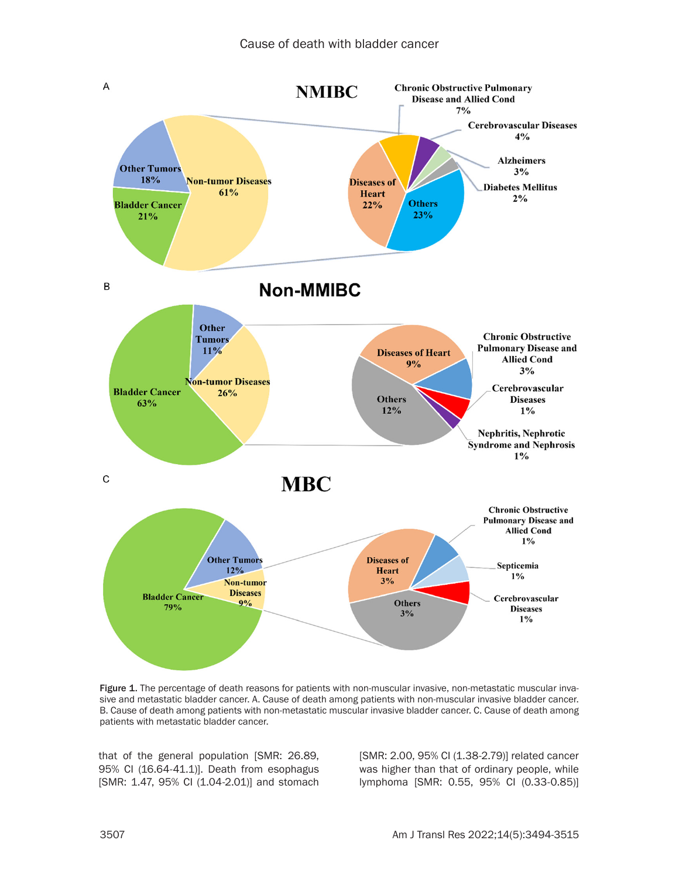

Figure 1. The percentage of death reasons for patients with non-muscular invasive, non-metastatic muscular invasive and metastatic bladder cancer. A. Cause of death among patients with non-muscular invasive bladder cancer. B. Cause of death among patients with non-metastatic muscular invasive bladder cancer. C. Cause of death among patients with metastatic bladder cancer.

that of the general population [SMR: 26.89, 95% CI (16.64-41.1)]. Death from esophagus [SMR: 1.47, 95% CI (1.04-2.01)] and stomach

[SMR: 2.00, 95% CI (1.38-2.79)] related cancer was higher than that of ordinary people, while lymphoma [SMR: 0.55, 95% CI (0.33-0.85)]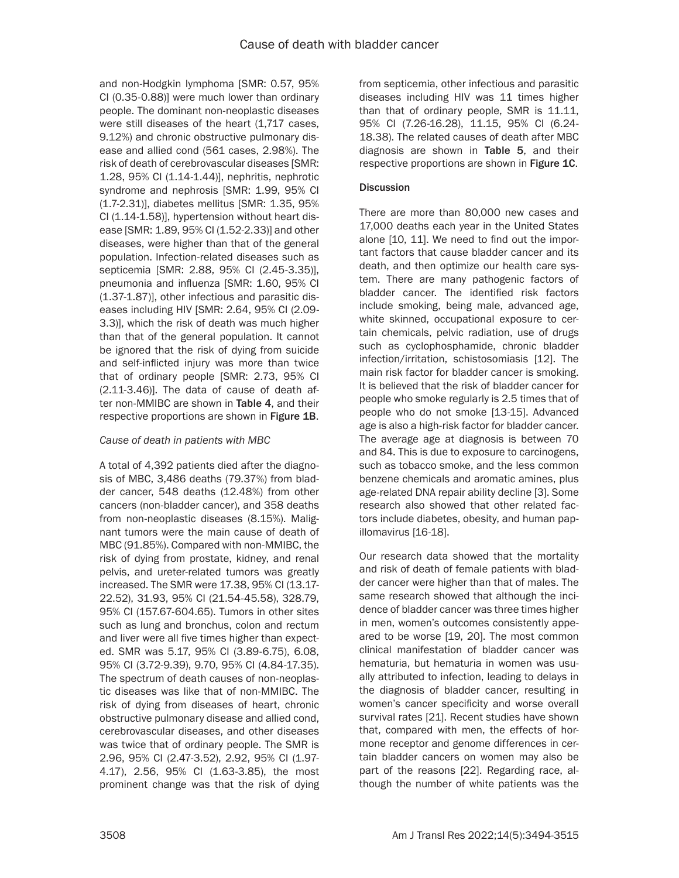and non-Hodgkin lymphoma [SMR: 0.57, 95% CI (0.35-0.88)] were much lower than ordinary people. The dominant non-neoplastic diseases were still diseases of the heart (1,717 cases, 9.12%) and chronic obstructive pulmonary disease and allied cond (561 cases, 2.98%). The risk of death of cerebrovascular diseases [SMR: 1.28, 95% CI (1.14-1.44)], nephritis, nephrotic syndrome and nephrosis [SMR: 1.99, 95% CI (1.7-2.31)], diabetes mellitus [SMR: 1.35, 95% CI (1.14-1.58)], hypertension without heart disease [SMR: 1.89, 95% CI (1.52-2.33)] and other diseases, were higher than that of the general population. Infection-related diseases such as septicemia [SMR: 2.88, 95% CI (2.45-3.35)], pneumonia and influenza [SMR: 1.60, 95% CI (1.37-1.87)], other infectious and parasitic diseases including HIV [SMR: 2.64, 95% CI (2.09- 3.3)], which the risk of death was much higher than that of the general population. It cannot be ignored that the risk of dying from suicide and self-inflicted injury was more than twice that of ordinary people [SMR: 2.73, 95% CI (2.11-3.46)]. The data of cause of death after non-MMIBC are shown in Table 4, and their respective proportions are shown in Figure 1B.

### *Cause of death in patients with MBC*

A total of 4,392 patients died after the diagnosis of MBC, 3,486 deaths (79.37%) from bladder cancer, 548 deaths (12.48%) from other cancers (non-bladder cancer), and 358 deaths from non-neoplastic diseases (8.15%). Malignant tumors were the main cause of death of MBC (91.85%). Compared with non-MMIBC, the risk of dying from prostate, kidney, and renal pelvis, and ureter-related tumors was greatly increased. The SMR were 17.38, 95% CI (13.17- 22.52), 31.93, 95% CI (21.54-45.58), 328.79, 95% CI (157.67-604.65). Tumors in other sites such as lung and bronchus, colon and rectum and liver were all five times higher than expected. SMR was 5.17, 95% CI (3.89-6.75), 6.08, 95% CI (3.72-9.39), 9.70, 95% CI (4.84-17.35). The spectrum of death causes of non-neoplastic diseases was like that of non-MMIBC. The risk of dying from diseases of heart, chronic obstructive pulmonary disease and allied cond, cerebrovascular diseases, and other diseases was twice that of ordinary people. The SMR is 2.96, 95% CI (2.47-3.52), 2.92, 95% CI (1.97- 4.17), 2.56, 95% CI (1.63-3.85), the most prominent change was that the risk of dying from septicemia, other infectious and parasitic diseases including HIV was 11 times higher than that of ordinary people, SMR is 11.11, 95% CI (7.26-16.28), 11.15, 95% CI (6.24- 18.38). The related causes of death after MBC diagnosis are shown in Table 5, and their respective proportions are shown in Figure 1C.

### **Discussion**

There are more than 80,000 new cases and 17,000 deaths each year in the United States alone [10, 11]. We need to find out the important factors that cause bladder cancer and its death, and then optimize our health care system. There are many pathogenic factors of bladder cancer. The identified risk factors include smoking, being male, advanced age, white skinned, occupational exposure to certain chemicals, pelvic radiation, use of drugs such as cyclophosphamide, chronic bladder infection/irritation, schistosomiasis [12]. The main risk factor for bladder cancer is smoking. It is believed that the risk of bladder cancer for people who smoke regularly is 2.5 times that of people who do not smoke [13-15]. Advanced age is also a high-risk factor for bladder cancer. The average age at diagnosis is between 70 and 84. This is due to exposure to carcinogens, such as tobacco smoke, and the less common benzene chemicals and aromatic amines, plus age-related DNA repair ability decline [3]. Some research also showed that other related factors include diabetes, obesity, and human papillomavirus [16-18].

Our research data showed that the mortality and risk of death of female patients with bladder cancer were higher than that of males. The same research showed that although the incidence of bladder cancer was three times higher in men, women's outcomes consistently appeared to be worse [19, 20]. The most common clinical manifestation of bladder cancer was hematuria, but hematuria in women was usually attributed to infection, leading to delays in the diagnosis of bladder cancer, resulting in women's cancer specificity and worse overall survival rates [21]. Recent studies have shown that, compared with men, the effects of hormone receptor and genome differences in certain bladder cancers on women may also be part of the reasons [22]. Regarding race, although the number of white patients was the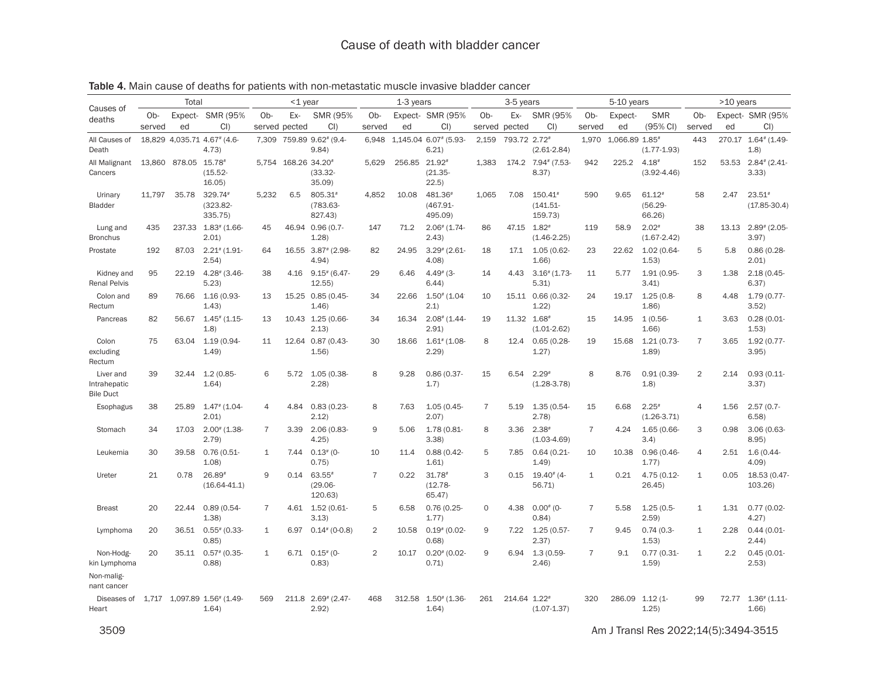|                                               |        | Total               |                                     |                | $<$ 1 year          |                                     |                | 1-3 years     |                                    |                | 3-5 years    |                                   |                | 5-10 years     |                                  |                | >10 years |                              |
|-----------------------------------------------|--------|---------------------|-------------------------------------|----------------|---------------------|-------------------------------------|----------------|---------------|------------------------------------|----------------|--------------|-----------------------------------|----------------|----------------|----------------------------------|----------------|-----------|------------------------------|
| Causes of<br>deaths                           | Ob-    |                     | Expect- SMR (95%                    | $Ob-$          | Ex-                 | SMR (95%)                           | Ob-            |               | Expect- SMR (95%                   | $Ob-$          | Ex-          | SMR (95%                          | Ob-            | Expect-        | <b>SMR</b>                       | Ob-            |           | Expect- SMR (95%             |
|                                               | served | ed                  | $Cl$ )                              | served pected  |                     | $Cl$ )                              | served         | ed            | Cl                                 | served         | pected       | $Cl$ )                            | served         | ed             | (95% CI)                         | served         | ed        | Cl                           |
| All Causes of<br>Death                        |        |                     | 18.829 4.035.71 4.67# (4.6-<br>4.73 |                |                     | 7.309 759.89 9.62# (9.4-<br>9.84)   | 6.948          |               | 1.145.04 6.07# (5.93-<br>6.21)     | 2.159          | 793.72 2.72# | $(2.61 - 2.84)$                   | 1.970          | 1.066.89 1.85# | $(1.77 - 1.93)$                  | 443            |           | 270.17 1.64# (1.49-<br>1.8)  |
| All Malignant<br>Cancers                      |        | 13.860 878.05 15.78 | $(15.52 -$<br>16.05                 |                | 5.754 168.26 34.20# | $(33.32 -$<br>35.09                 | 5.629          | 256.85 21.92# | $(21.35 -$<br>22.5)                | 1.383          |              | 174.2 7.94# (7.53-<br>8.37)       | 942            | 225.2          | $4.18*$<br>$(3.92 - 4.46)$       | 152            |           | 53.53 2.84# (2.41-<br>3.33)  |
| Urinary<br>Bladder                            | 11.797 | 35.78               | 329.74#<br>$(323.82 -$<br>335.75)   | 5.232          | 6.5                 | 805.31#<br>$(783.63 -$<br>827.43)   | 4,852          | 10.08         | 481.36#<br>(467.91-<br>495.09)     | 1,065          | 7.08         | 150.41#<br>$(141.51 -$<br>159.73) | 590            | 9.65           | $61.12*$<br>$(56.29 -$<br>66.26) | 58             | 2.47      | $23.51*$<br>$(17.85 - 30.4)$ |
| Lung and<br><b>Bronchus</b>                   | 435    | 237.33              | $1.83^*$ (1.66-<br>2.01)            | 45             |                     | 46.94 0.96 (0.7-<br>1.28            | 147            | 71.2          | $2.06$ $(1.74 -$<br>2.43)          | 86             | 47.15        | $1.82^{*}$<br>$(1.46 - 2.25)$     | 119            | 58.9           | $2.02*$<br>$(1.67 - 2.42)$       | 38             |           | 13.13 2.89# (2.05-<br>3.97   |
| Prostate                                      | 192    | 87.03               | $2.21$ # (1.91-<br>2.54             | 64             |                     | 16.55 3.87# (2.98-<br>4.94          | 82             | 24.95         | $3.29$ $(2.61 -$<br>4.08)          | 18             | 17.1         | 1.05 (0.62-<br>1.66               | 23             | 22.62          | 1.02 (0.64-<br>1.53)             | 5              | 5.8       | $0.86(0.28 -$<br>2.01)       |
| Kidney and<br><b>Renal Pelvis</b>             | 95     | 22.19               | $4.28$ $(3.46$<br>5.23              | 38             | 4.16                | $9.15$ # (6.47-<br>12.55            | 29             | 6.46          | $4.49^{*}$ (3-<br>6.44             | 14             | 4.43         | $3.16$ $(1.73$<br>5.31)           | 11             | 5.77           | 1.91 (0.95-<br>3.41)             | 3              | 1.38      | 2.18(0.45<br>6.37)           |
| Colon and<br>Rectum                           | 89     | 76.66               | 1.16 (0.93-<br>1.43)                | 13             |                     | 15.25 0.85 (0.45-<br>1.46           | 34             | 22.66         | $1.50^{*}$ (1.04)<br>2.1)          | 10             |              | 15.11  0.66  (0.32-<br>1.22       | 24             | 19.17          | $1.25(0.8 -$<br>1.86             | 8              | 4.48      | 1.79 (0.77-<br>3.52          |
| Pancreas                                      | 82     | 56.67               | $1.45$ $(1.15 -$<br>1.8)            | 13             |                     | 10.43 1.25 (0.66-<br>2.13)          | 34             | 16.34         | $2.08$ $(1.44 -$<br>2.91)          | 19             | 11.32 1.68#  | $(1.01 - 2.62)$                   | 15             | 14.95          | $1(0.56 -$<br>1.66               | $\mathbf{1}$   | 3.63      | $0.28(0.01 -$<br>1.53        |
| Colon<br>excluding<br>Rectum                  | 75     | 63.04               | 1.19 (0.94-<br>1.49                 | 11             |                     | 12.64 0.87 (0.43-<br>1.56           | 30             | 18.66         | $1.61$ <sup>#</sup> (1.08-<br>2.29 | 8              | 12.4         | $0.65(0.28 -$<br>1.27)            | 19             | 15.68          | 1.21(0.73<br>1.89                | $\overline{7}$ | 3.65      | 1.92 (0.77-<br>3.95          |
| Liver and<br>Intrahepatic<br><b>Bile Duct</b> | 39     | 32.44               | $1.2(0.85 -$<br>1.64                | 6              | 5.72                | 1.05 (0.38-<br>2.28                 | 8              | 9.28          | $0.86(0.37 -$<br>1.7)              | 15             | 6.54         | $2.29*$<br>$(1.28 - 3.78)$        | 8              | 8.76           | 0.91(0.39<br>1.8                 | $\overline{2}$ | 2.14      | 0.93(0.11<br>3.37)           |
| Esophagus                                     | 38     | 25.89               | $1.47$ $(1.04 -$<br>2.01            | 4              | 4.84                | $0.83(0.23 -$<br>2.12)              | 8              | 7.63          | $1.05(0.45 -$<br>2.07)             | $\overline{7}$ | 5.19         | 1.35 (0.54-<br>(2.78)             | 15             | 6.68           | $2.25*$<br>$(1.26 - 3.71)$       | 4              | 1.56      | $2.57(0.7 -$<br>6.58)        |
| Stomach                                       | 34     | 17.03               | $2.00$ $(1.38 -$<br>2.79            | $\overline{7}$ | 3.39                | 2.06 (0.83-<br>4.25)                | 9              | 5.06          | 1.78 (0.81-<br>3.38                | 8              | 3.36         | $2.38*$<br>$(1.03-4.69)$          | $\overline{7}$ | 4.24           | 1.65 (0.66-<br>3.4)              | 3              | 0.98      | $3.06(0.63 -$<br>8.95)       |
| Leukemia                                      | 30     | 39.58               | 0.76 (0.51-<br>1.08                 | 1              | 7.44                | $0.13^{*}$ (0-<br>0.75)             | 10             | 11.4          | $0.88(0.42 -$<br>1.61              | 5              | 7.85         | 0.64(0.21)<br>1.49                | 10             | 10.38          | 0.96 (0.46-<br>1.77)             | 4              | 2.51      | $1.6(0.44 -$<br>4.09         |
| Ureter                                        | 21     | 0.78                | 26.89#<br>$(16.64 - 41.1)$          | 9              | 0.14                | $63.55*$<br>$(29.06 -$<br>120.63)   | $\overline{7}$ | 0.22          | $31.78*$<br>$(12.78 -$<br>65.47)   | 3              | 0.15         | $19.40^{*}$ (4-<br>56.71)         | $\mathbf{1}$   | 0.21           | 4.75 (0.12-<br>26.45             | $\mathbf 1$    | 0.05      | 18.53 (0.47-<br>103.26)      |
| <b>Breast</b>                                 | 20     | 22.44               | 0.89(0.54<br>1.38                   | $\overline{7}$ |                     | 4.61 1.52 (0.61-<br>3.13)           | 5              | 6.58          | $0.76(0.25 -$<br>1.77)             | $\circ$        | 4.38         | $0.00^{#}$ (0-<br>0.84)           | $\overline{7}$ | 5.58           | $1.25(0.5 -$<br>2.59)            | $\mathbf{1}$   | 1.31      | $0.77(0.02 -$<br>4.27)       |
| Lymphoma                                      | 20     | 36.51               | $0.55$ # (0.33-<br>0.85)            | $\mathbf{1}$   | 6.97                | $0.14$ # (0-0.8)                    | $\overline{2}$ | 10.58         | $0.19^{*}$ (0.02-<br>0.68)         | 9              | 7.22         | 1.25 (0.57-<br>2.37)              | $\overline{7}$ | 9.45           | $0.74(0.3 -$<br>1.53)            | 1              | 2.28      | $0.44(0.01 -$<br>2.44)       |
| Non-Hodg-<br>kin Lymphoma                     | 20     | 35.11               | $0.57$ # (0.35-<br>0.88             | $\mathbf{1}$   | 6.71                | $0.15^{*}$ (0-<br>0.83)             | $\overline{2}$ | 10.17         | $0.20^{*}$ (0.02-<br>0.71)         | 9              | 6.94         | $1.3(0.59 -$<br>2.46              | $\overline{7}$ | 9.1            | $0.77(0.31 -$<br>1.59)           | $\mathbf{1}$   | 2.2       | $0.45(0.01 -$<br>2.53)       |
| Non-malig-<br>nant cancer                     |        |                     |                                     |                |                     |                                     |                |               |                                    |                |              |                                   |                |                |                                  |                |           |                              |
| Diseases of<br>Heart                          | 1.717  |                     | 1.097.89 1.56# (1.49-<br>1.64)      | 569            | 211.8               | $2.69$ <sup>#</sup> (2.47-<br>2.92) | 468            | 312.58        | $1.50^{*}$ (1.36-<br>1.64)         | 261            | 214.64 1.22# | $(1.07 - 1.37)$                   | 320            | 286.09         | $1.12(1 -$<br>1.25)              | 99             | 72.77     | $1.36$ $(1.11$<br>1.66       |

Table 4. Main cause of deaths for patients with non-metastatic muscle invasive bladder cancer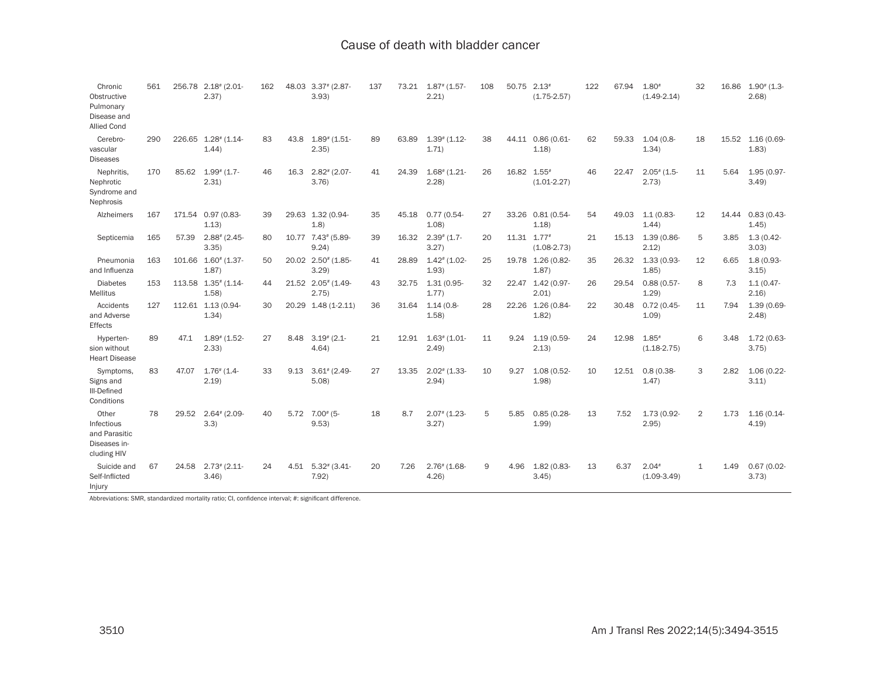| Chronic<br>Obstructive<br>Pulmonary<br>Disease and<br><b>Allied Cond</b> | 561 | 256.78 | $2.18^{*}$ (2.01-<br>2.37)          | 162 | 48.03 | $3.37$ $(2.87 -$<br>3.93           | 137 | 73.21 | $1.87$ $(1.57 -$<br>2.21)           | 108 | 50.75       | $2.13*$<br>$(1.75 - 2.57)$ | 122 | 67.94 | $1.80*$<br>$(1.49 - 2.14)$             | 32           | 16.86 | $1.90^{*}$ (1.3-<br>2.68 |
|--------------------------------------------------------------------------|-----|--------|-------------------------------------|-----|-------|------------------------------------|-----|-------|-------------------------------------|-----|-------------|----------------------------|-----|-------|----------------------------------------|--------------|-------|--------------------------|
| Cerebro-<br>vascular<br>Diseases                                         | 290 | 226.65 | $1.28$ <sup>#</sup> (1.14-<br>1.44) | 83  | 43.8  | $1.89$ $(1.51 -$<br>2.35)          | 89  | 63.89 | $1.39$ $(1.12 -$<br>1.71)           | 38  |             | 44.11 0.86 (0.61-<br>1.18  | 62  | 59.33 | $1.04(0.8 -$<br>1.34)                  | 18           | 15.52 | 1.16 (0.69-<br>1.83)     |
| Nephritis,<br>Nephrotic<br>Syndrome and<br>Nephrosis                     | 170 | 85.62  | $1.99$ $(1.7 -$<br>2.31)            | 46  | 16.3  | $2.82$ <sup>#</sup> (2.07-<br>3.76 | 41  | 24.39 | $1.68$ # (1.21-<br>2.28             | 26  | 16.82 1.55# | $(1.01 - 2.27)$            | 46  | 22.47 | $2.05$ # (1.5-<br>2.73)                | 11           | 5.64  | 1.95 (0.97-<br>3.49)     |
| Alzheimers                                                               | 167 |        | 171.54 0.97 (0.83-<br>1.13)         | 39  |       | 29.63 1.32 (0.94-<br>1.8)          | 35  | 45.18 | $0.77(0.54 -$<br>1.08               | 27  |             | 33.26 0.81 (0.54-<br>1.18  | 54  | 49.03 | $1.1(0.83 -$<br>1.44                   | 12           | 14.44 | $0.83(0.43 -$<br>1.45)   |
| Septicemia                                                               | 165 | 57.39  | $2.88$ <sup>#</sup> (2.45-<br>3.35  | 80  |       | 10.77 7.43# (5.89-<br>9.24)        | 39  | 16.32 | $2.39$ $(1.7 -$<br>3.27             | 20  | 11.31 1.77# | $(1.08 - 2.73)$            | 21  | 15.13 | 1.39 (0.86-<br>2.12)                   | 5            | 3.85  | $1.3(0.42 -$<br>3.03)    |
| Pneumonia<br>and Influenza                                               | 163 | 101.66 | $1.60^{*}$ (1.37-<br>1.87)          | 50  |       | 20.02 2.50# (1.85-<br>3.29         | 41  | 28.89 | $1.42$ <sup>#</sup> (1.02-<br>1.93) | 25  | 19.78       | 1.26 (0.82-<br>1.87)       | 35  | 26.32 | 1.33 (0.93-<br>1.85                    | 12           | 6.65  | $1.8(0.93 -$<br>3.15)    |
| <b>Diabetes</b><br><b>Mellitus</b>                                       | 153 | 113.58 | $1.35$ # (1.14-<br>1.58             | 44  | 21.52 | $2.05$ $(1.49 -$<br>2.75)          | 43  | 32.75 | $1.31(0.95 -$<br>1.77)              | 32  | 22.47       | $1.42(0.97 -$<br>2.01      | 26  | 29.54 | $0.88(0.57 -$<br>1.29                  | 8            | 7.3   | $1.1(0.47 -$<br>2.16)    |
| Accidents<br>and Adverse<br>Effects                                      | 127 |        | 112.61 1.13 (0.94-<br>1.34)         | 30  | 20.29 | $1.48(1 - 2.11)$                   | 36  | 31.64 | $1.14(0.8 -$<br>1.58                | 28  | 22.26       | 1.26 (0.84-<br>1.82)       | 22  | 30.48 | 0.72(0.45<br>1.09                      | 11           | 7.94  | 1.39 (0.69-<br>2.48      |
| Hyperten-<br>sion without<br><b>Heart Disease</b>                        | 89  | 47.1   | $1.89$ $(1.52 -$<br>2.33            | 27  | 8.48  | $3.19^{*}$ (2.1-<br>4.64           | 21  | 12.91 | $1.63$ <sup>#</sup> (1.01-<br>2.49  | 11  | 9.24        | 1.19 (0.59-<br>2.13)       | 24  | 12.98 | $1.85$ <sup>#</sup><br>$(1.18 - 2.75)$ | 6            | 3.48  | 1.72 (0.63-<br>3.75      |
| Symptoms,<br>Signs and<br>III-Defined<br>Conditions                      | 83  | 47.07  | $1.76$ <sup>#</sup> $(1.4$<br>2.19  | 33  | 9.13  | $3.61$ <sup>#</sup> (2.49-<br>5.08 | 27  | 13.35 | $2.02$ $(1.33 -$<br>2.94)           | 10  | 9.27        | 1.08 (0.52-<br>1.98        | 10  | 12.51 | $0.8(0.38 -$<br>1.47)                  | 3            | 2.82  | 1.06 (0.22-<br>3.11)     |
| Other<br>Infectious<br>and Parasitic<br>Diseases in-<br>cluding HIV      | 78  | 29.52  | $2.64$ $(2.09 -$<br>3.3)            | 40  | 5.72  | $7.00^{*}$ (5-<br>9.53)            | 18  | 8.7   | $2.07$ # (1.23-<br>3.27             | 5   | 5.85        | $0.85(0.28 -$<br>1.99      | 13  | 7.52  | 1.73 (0.92-<br>2.95)                   | 2            | 1.73  | $1.16(0.14 -$<br>4.19    |
| Suicide and<br>Self-Inflicted<br>Injury                                  | 67  | 24.58  | $2.73$ $(2.11$<br>3.46              | 24  | 4.51  | $5.32^{*}$ (3.41-<br>7.92)         | 20  | 7.26  | $2.76$ $(1.68 -$<br>4.26            | 9   | 4.96        | $1.82(0.83 -$<br>3.45      | 13  | 6.37  | $2.04*$<br>$(1.09-3.49)$               | $\mathbf{1}$ | 1.49  | $0.67(0.02 -$<br>3.73    |

Abbreviations: SMR, standardized mortality ratio; CI, confidence interval; #: significant difference.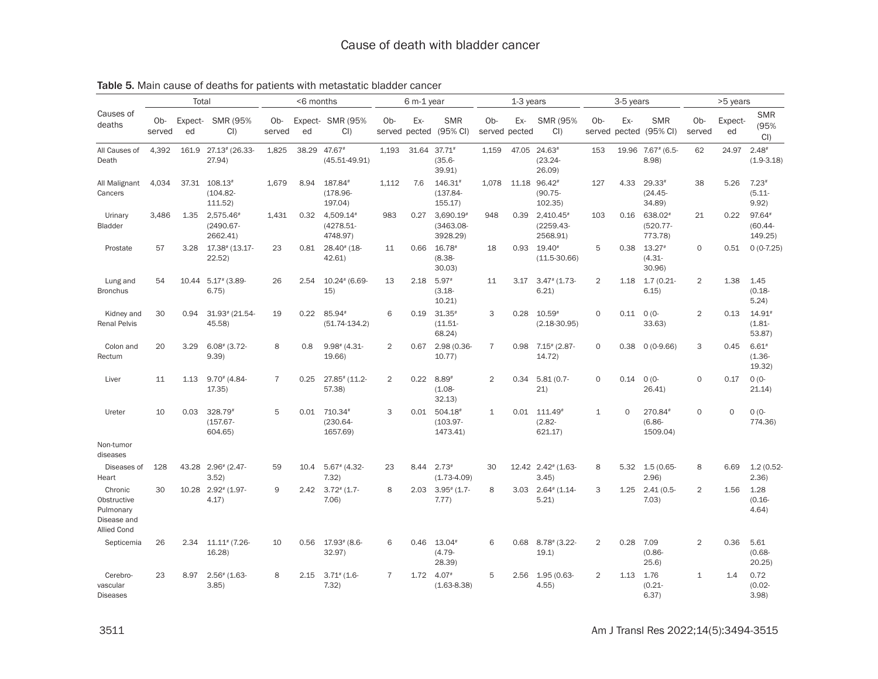|                                                                          |               | Total         |                                       | <6 months      |       |                                      | 6 m-1 year     |                      |                                            |                                   | 1-3 years |                                             |                 | 3-5 years |                                  | >5 years       |               |                                 |  |
|--------------------------------------------------------------------------|---------------|---------------|---------------------------------------|----------------|-------|--------------------------------------|----------------|----------------------|--------------------------------------------|-----------------------------------|-----------|---------------------------------------------|-----------------|-----------|----------------------------------|----------------|---------------|---------------------------------|--|
| Causes of<br>deaths                                                      | Ob-<br>served | Expect-<br>ed | SMR (95%<br>$Cl$ )                    | Ob-<br>served  | ed    | Expect- SMR (95%<br>CI               | Ob-            | Ex-<br>served pected | <b>SMR</b><br>(95% CI)                     | O <sub>b</sub> -<br>served pected | Ex-       | SMR (95%)<br>$Cl$ )                         | $Ob-$<br>served | Ex-       | <b>SMR</b><br>pected (95% CI)    | Ob-<br>served  | Expect-<br>ed | <b>SMR</b><br>(95%<br>$Cl$ )    |  |
| All Causes of<br>Death                                                   | 4.392         | 161.9         | 27.13# (26.33-<br>27.94)              | 1,825          | 38.29 | 47.67#<br>$(45.51 - 49.91)$          | 1,193          |                      | 31.64 37.71#<br>$(35.6 -$<br>39.91)        | 1.159                             | 47.05     | $24.63*$<br>$(23.24 -$<br>26.09             | 153             |           | 19.96 7.67# (6.5-<br>8.98        | 62             | 24.97         | $2.48*$<br>$(1.9 - 3.18)$       |  |
| All Malignant<br>Cancers                                                 | 4.034         | 37.31         | $108.13*$<br>$(104.82 -$<br>111.52)   | 1.679          | 8.94  | 187.84#<br>$(178.96 -$<br>197.04)    | 1.112          | 7.6                  | 146.31#<br>$(137.84 -$<br>155.17           | 1.078                             | 11.18     | 96.42#<br>$(90.75 -$<br>102.35)             | 127             | 4.33      | $29.33*$<br>$(24.45 -$<br>34.89) | 38             | 5.26          | $7.23*$<br>$(5.11 -$<br>9.92)   |  |
| Urinary<br>Bladder                                                       | 3,486         | 1.35          | 2,575.46#<br>$(2490.67 -$<br>2662.41) | 1,431          | 0.32  | 4,509.14#<br>(4278.51-<br>4748.97)   | 983            | 0.27                 | $3,690.19*$<br>$(3463.08 -$<br>3928.29)    | 948                               | 0.39      | $2,410.45*$<br>$(2259.43 -$<br>2568.91)     | 103             | 0.16      | 638.02#<br>(520.77-<br>773.78)   | 21             | 0.22          | 97.64#<br>$(60.44 -$<br>149.25) |  |
| Prostate                                                                 | 57            | 3.28          | 17.38# (13.17-<br>22.52)              | 23             | 0.81  | 28.40# (18-<br>42.61                 | 11             | 0.66                 | $16.78$ <sup>#</sup><br>$(8.38 -$<br>30.03 | 18                                | 0.93      | $19.40*$<br>$(11.5 - 30.66)$                | 5               | 0.38      | $13.27*$<br>$(4.31 -$<br>30.96)  | 0              | 0.51          | $0(0-7.25)$                     |  |
| Lung and<br><b>Bronchus</b>                                              | 54            |               | 10.44 5.17# (3.89-<br>6.75)           | 26             | 2.54  | $10.24$ $(6.69 -$<br>15)             | 13             | 2.18                 | $5.97*$<br>$(3.18 -$<br>10.21              | 11                                | 3.17      | $3.47$ $(1.73 -$<br>6.21                    | $\overline{2}$  | 1.18      | $1.7(0.21 -$<br>6.15)            | $\overline{2}$ | 1.38          | 1.45<br>$(0.18 -$<br>5.24)      |  |
| Kidney and<br><b>Renal Pelvis</b>                                        | 30            | 0.94          | 31.93# (21.54-<br>45.58)              | 19             | 0.22  | 85.94#<br>$(51.74 - 134.2)$          | 6              | 0.19                 | $31.35*$<br>$(11.51 -$<br>68.24            | 3                                 | 0.28      | $10.59*$<br>$(2.18 - 30.95)$                | $\mathbf 0$     | 0.11      | $O(O -$<br>33.63)                | $\overline{2}$ | 0.13          | 14.91<br>$(1.81 -$<br>53.87     |  |
| Colon and<br>Rectum                                                      | 20            | 3.29          | $6.08$ $(3.72 -$<br>9.39              | 8              | 0.8   | $9.98$ # (4.31-<br>19.66)            | $\overline{2}$ | 0.67                 | 2.98 (0.36-<br>10.77                       | $\overline{7}$                    |           | $0.98$ $7.15$ <sup>#</sup> (2.87-<br>14.72) | $\mathbf 0$     | 0.38      | $0(0-9.66)$                      | 3              | 0.45          | $6.61*$<br>$(1.36 -$<br>19.32)  |  |
| Liver                                                                    | 11            | 1.13          | $9.70^{*}$ (4.84-<br>17.35            | $\overline{7}$ | 0.25  | 27.85# (11.2-<br>57.38)              | 2              | 0.22                 | $8.89*$<br>$(1.08 -$<br>32.13              | $\overline{2}$                    | 0.34      | $5.81(0.7 -$<br>21)                         | $\Omega$        | 0.14      | $0(0 -$<br>26.41)                | $\Omega$       | 0.17          | $O (O -$<br>21.14)              |  |
| Ureter                                                                   | 10            | 0.03          | 328.79#<br>$(157.67 -$<br>604.65)     | 5              | 0.01  | 710.34#<br>$(230.64 -$<br>1657.69)   | 3              | 0.01                 | 504.18#<br>$(103.97 -$<br>1473.41)         | $\mathbf{1}$                      | 0.01      | 111.49#<br>$(2.82 -$<br>621.17)             | $\mathbf{1}$    | $\Omega$  | 270.84#<br>$(6.86 -$<br>1509.04) | $\Omega$       | $\Omega$      | $0(0 -$<br>774.36)              |  |
| Non-tumor<br>diseases                                                    |               |               |                                       |                |       |                                      |                |                      |                                            |                                   |           |                                             |                 |           |                                  |                |               |                                 |  |
| Diseases of<br>Heart                                                     | 128           |               | 43.28 2.96 # (2.47-<br>3.52           | 59             | 10.4  | $5.67$ $(4.32 -$<br>7.32)            | 23             | 8.44                 | $2.73*$<br>$(1.73 - 4.09)$                 | 30                                |           | 12.42 2.42 # (1.63-<br>3.45                 | 8               | 5.32      | $1.5(0.65 -$<br>2.96             | 8              | 6.69          | 1.2(0.52)<br>2.36               |  |
| Chronic<br>Obstructive<br>Pulmonary<br>Disease and<br><b>Allied Cond</b> | 30            | 10.28         | $2.92$ <sup>#</sup> (1.97-<br>4.17)   | 9              | 2.42  | $3.72$ <sup>#</sup> $(1.7 -$<br>7.06 | 8              | 2.03                 | $3.95$ $(1.7 -$<br>7.77)                   | 8                                 | 3.03      | $2.64$ $(1.14 -$<br>5.21                    | 3               | 1.25      | $2.41(0.5 -$<br>7.03)            | $\overline{2}$ | 1.56          | 1.28<br>$(0.16 -$<br>4.64)      |  |
| Septicemia                                                               | 26            | 2.34          | $11.11$ <sup>#</sup> (7.26-<br>16.28  | 10             | 0.56  | $17.93*$ (8.6-<br>32.97)             | 6              | 0.46                 | 13.04#<br>$(4.79 -$<br>28.39)              | 6                                 | 0.68      | $8.78$ $(3.22 -$<br>19.1                    | $\overline{2}$  | 0.28      | 7.09<br>$(0.86 -$<br>25.6)       | $\overline{2}$ | 0.36          | 5.61<br>$(0.68 -$<br>20.25      |  |
| Cerebro-<br>vascular<br><b>Diseases</b>                                  | 23            | 8.97          | $2.56$ $(1.63 -$<br>3.85              | 8              | 2.15  | $3.71^*$ (1.6-<br>7.32)              | $\overline{7}$ | 1.72                 | $4.07*$<br>$(1.63 - 8.38)$                 | 5                                 | 2.56      | 1.95 (0.63-<br>4.55                         | $\overline{2}$  | 1.13      | 1.76<br>$(0.21 -$<br>6.37)       | $\mathbf{1}$   | 1.4           | 0.72<br>$(0.02 -$<br>3.98       |  |

# Table 5. Main cause of deaths for patients with metastatic bladder cancer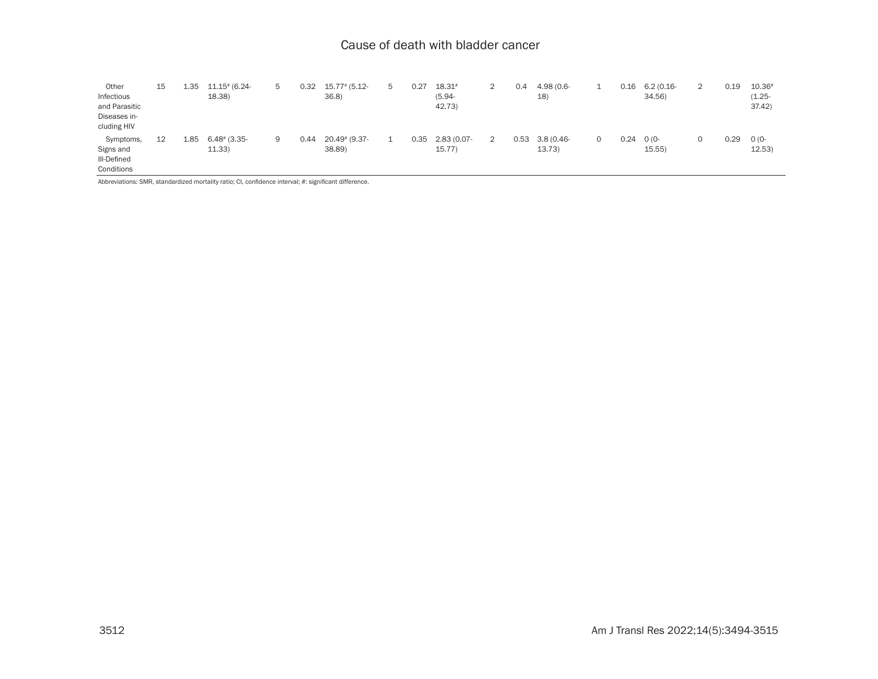| Other         | 15 | 1.35 | $11.15$ # (6.24-           | 5  | 0.32 | $15.77$ # (5.12- | 5 | 0.27 | 18.31#      | 2 | 0.4  | 4.98 (0.6-   |          | 0.16 | $6.2(0.16 -$ | 2 | 0.19 | 10.36#    |
|---------------|----|------|----------------------------|----|------|------------------|---|------|-------------|---|------|--------------|----------|------|--------------|---|------|-----------|
| Infectious    |    |      | 18.38)                     |    |      | 36.8             |   |      | $(5.94 -$   |   |      | 18)          |          |      | 34.56        |   |      | $(1.25 -$ |
| and Parasitic |    |      |                            |    |      |                  |   |      | 42.73       |   |      |              |          |      |              |   |      | 37.42     |
| Diseases in-  |    |      |                            |    |      |                  |   |      |             |   |      |              |          |      |              |   |      |           |
| cluding HIV   |    |      |                            |    |      |                  |   |      |             |   |      |              |          |      |              |   |      |           |
| Symptoms,     | 12 | 1.85 | $6.48$ <sup>#</sup> (3.35- | 9. | 0.44 | 20.49# (9.37-    | 1 | 0.35 | 2.83 (0.07- | 2 | 0.53 | $3.8(0.46 -$ | $\Omega$ | 0.24 | $O(0 -$      | 0 | 0.29 | $O(0 -$   |
| Signs and     |    |      | 11.33                      |    |      | 38.89)           |   |      | 15.77       |   |      | 13.73        |          |      | 15.55        |   |      | 12.53     |
| III-Defined   |    |      |                            |    |      |                  |   |      |             |   |      |              |          |      |              |   |      |           |
| Conditions    |    |      |                            |    |      |                  |   |      |             |   |      |              |          |      |              |   |      |           |

Abbreviations: SMR, standardized mortality ratio; CI, confidence interval; #: significant difference.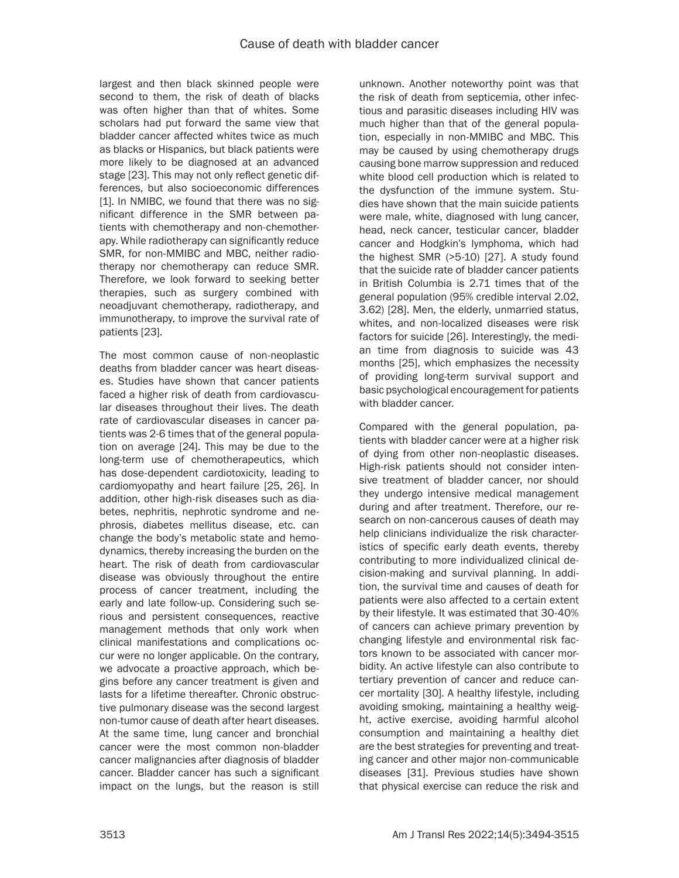largest and then black skinned people were second to them, the risk of death of blacks was often higher than that of whites. Some scholars had put forward the same view that bladder cancer affected whites twice as much as blacks or Hispanics, but black patients were more likely to be diagnosed at an advanced stage [23]. This may not only reflect genetic differences, but also socioeconomic differences [1]. In NMIBC, we found that there was no significant difference in the SMR between patients with chemotherapy and non-chemotherapy. While radiotherapy can significantly reduce SMR, for non-MMIBC and MBC, neither radiotherapy nor chemotherapy can reduce SMR. Therefore, we look forward to seeking better therapies, such as surgery combined with neoadjuvant chemotherapy, radiotherapy, and immunotherapy, to improve the survival rate of patients [23].

The most common cause of non-neoplastic deaths from bladder cancer was heart diseases. Studies have shown that cancer patients faced a higher risk of death from cardiovascular diseases throughout their lives. The death rate of cardiovascular diseases in cancer patients was 2-6 times that of the general population on average [24]. This may be due to the long-term use of chemotherapeutics, which has dose-dependent cardiotoxicity, leading to cardiomyopathy and heart failure [25, 26]. In addition, other high-risk diseases such as diabetes, nephritis, nephrotic syndrome and nephrosis, diabetes mellitus disease, etc. can change the body's metabolic state and hemodynamics, thereby increasing the burden on the heart. The risk of death from cardiovascular disease was obviously throughout the entire process of cancer treatment, including the early and late follow-up. Considering such serious and persistent consequences, reactive management methods that only work when clinical manifestations and complications occur were no longer applicable. On the contrary, we advocate a proactive approach, which begins before any cancer treatment is given and lasts for a lifetime thereafter. Chronic obstructive pulmonary disease was the second largest non-tumor cause of death after heart diseases. At the same time, lung cancer and bronchial cancer were the most common non-bladder cancer malignancies after diagnosis of bladder cancer. Bladder cancer has such a significant impact on the lungs, but the reason is still

unknown. Another noteworthy point was that the risk of death from septicemia, other infectious and parasitic diseases including HIV was much higher than that of the general population, especially in non-MMIBC and MBC. This may be caused by using chemotherapy drugs causing bone marrow suppression and reduced white blood cell production which is related to the dysfunction of the immune system. Studies have shown that the main suicide patients were male, white, diagnosed with lung cancer, head, neck cancer, testicular cancer, bladder cancer and Hodgkin's lymphoma, which had the highest SMR (>5-10) [27]. A study found that the suicide rate of bladder cancer patients in British Columbia is 2.71 times that of the general population (95% credible interval 2.02, 3.62) [28]. Men, the elderly, unmarried status, whites, and non-localized diseases were risk factors for suicide [26]. Interestingly, the median time from diagnosis to suicide was 43 months [25], which emphasizes the necessity of providing long-term survival support and basic psychological encouragement for patients with bladder cancer.

Compared with the general population, patients with bladder cancer were at a higher risk of dying from other non-neoplastic diseases. High-risk patients should not consider intensive treatment of bladder cancer, nor should they undergo intensive medical management during and after treatment. Therefore, our research on non-cancerous causes of death may help clinicians individualize the risk characteristics of specific early death events, thereby contributing to more individualized clinical decision-making and survival planning. In addition, the survival time and causes of death for patients were also affected to a certain extent by their lifestyle. It was estimated that 30-40% of cancers can achieve primary prevention by changing lifestyle and environmental risk factors known to be associated with cancer morbidity. An active lifestyle can also contribute to tertiary prevention of cancer and reduce cancer mortality [30]. A healthy lifestyle, including avoiding smoking, maintaining a healthy weight, active exercise, avoiding harmful alcohol consumption and maintaining a healthy diet are the best strategies for preventing and treating cancer and other major non-communicable diseases [31]. Previous studies have shown that physical exercise can reduce the risk and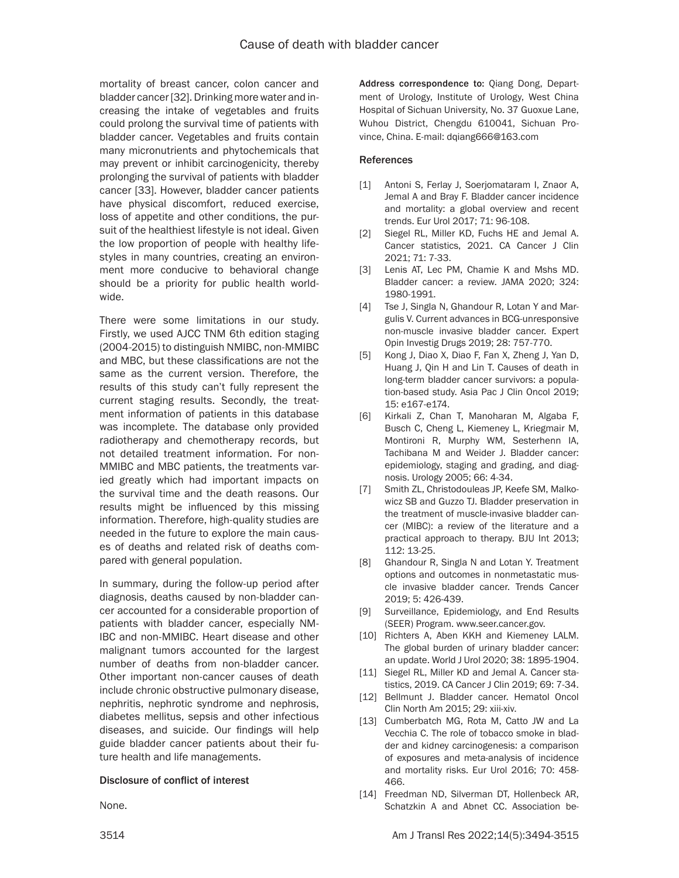mortality of breast cancer, colon cancer and bladder cancer [32]. Drinking more water and increasing the intake of vegetables and fruits could prolong the survival time of patients with bladder cancer. Vegetables and fruits contain many micronutrients and phytochemicals that may prevent or inhibit carcinogenicity, thereby prolonging the survival of patients with bladder cancer [33]. However, bladder cancer patients have physical discomfort, reduced exercise, loss of appetite and other conditions, the pursuit of the healthiest lifestyle is not ideal. Given the low proportion of people with healthy lifestyles in many countries, creating an environment more conducive to behavioral change should be a priority for public health worldwide.

There were some limitations in our study. Firstly, we used AJCC TNM 6th edition staging (2004-2015) to distinguish NMIBC, non-MMIBC and MBC, but these classifications are not the same as the current version. Therefore, the results of this study can't fully represent the current staging results. Secondly, the treatment information of patients in this database was incomplete. The database only provided radiotherapy and chemotherapy records, but not detailed treatment information. For non-MMIBC and MBC patients, the treatments varied greatly which had important impacts on the survival time and the death reasons. Our results might be influenced by this missing information. Therefore, high-quality studies are needed in the future to explore the main causes of deaths and related risk of deaths compared with general population.

In summary, during the follow-up period after diagnosis, deaths caused by non-bladder cancer accounted for a considerable proportion of patients with bladder cancer, especially NM-IBC and non-MMIBC. Heart disease and other malignant tumors accounted for the largest number of deaths from non-bladder cancer. Other important non-cancer causes of death include chronic obstructive pulmonary disease, nephritis, nephrotic syndrome and nephrosis, diabetes mellitus, sepsis and other infectious diseases, and suicide. Our findings will help guide bladder cancer patients about their future health and life managements.

### Disclosure of conflict of interest

None.

Address correspondence to: Qiang Dong, Department of Urology, Institute of Urology, West China Hospital of Sichuan University, No. 37 Guoxue Lane, Wuhou District, Chengdu 610041, Sichuan Province, China. E-mail: [dqiang666@163.com](mailto:dqiang666@163.com)

### References

- [1] Antoni S, Ferlay J, Soerjomataram I, Znaor A, Jemal A and Bray F. Bladder cancer incidence and mortality: a global overview and recent trends. Eur Urol 2017; 71: 96-108.
- [2] Siegel RL, Miller KD, Fuchs HE and Jemal A. Cancer statistics, 2021. CA Cancer J Clin 2021; 71: 7-33.
- [3] Lenis AT, Lec PM, Chamie K and Mshs MD. Bladder cancer: a review. JAMA 2020; 324: 1980-1991.
- [4] Tse J, Singla N, Ghandour R, Lotan Y and Margulis V. Current advances in BCG-unresponsive non-muscle invasive bladder cancer. Expert Opin Investig Drugs 2019; 28: 757-770.
- [5] Kong J, Diao X, Diao F, Fan X, Zheng J, Yan D, Huang J, Qin H and Lin T. Causes of death in long-term bladder cancer survivors: a population-based study. Asia Pac J Clin Oncol 2019; 15: e167-e174.
- [6] Kirkali Z, Chan T, Manoharan M, Algaba F, Busch C, Cheng L, Kiemeney L, Kriegmair M, Montironi R, Murphy WM, Sesterhenn IA, Tachibana M and Weider J. Bladder cancer: epidemiology, staging and grading, and diagnosis. Urology 2005; 66: 4-34.
- [7] Smith ZL, Christodouleas JP, Keefe SM, Malkowicz SB and Guzzo TJ. Bladder preservation in the treatment of muscle-invasive bladder cancer (MIBC): a review of the literature and a practical approach to therapy. BJU Int 2013; 112: 13-25.
- [8] Ghandour R, Singla N and Lotan Y. Treatment options and outcomes in nonmetastatic muscle invasive bladder cancer. Trends Cancer 2019; 5: 426-439.
- [9] Surveillance, Epidemiology, and End Results (SEER) Program. www.seer.cancer.gov.
- [10] Richters A, Aben KKH and Kiemeney LALM. The global burden of urinary bladder cancer: an update. World J Urol 2020; 38: 1895-1904.
- [11] Siegel RL, Miller KD and Jemal A. Cancer statistics, 2019. CA Cancer J Clin 2019; 69: 7-34.
- [12] Bellmunt J. Bladder cancer. Hematol Oncol Clin North Am 2015; 29: xiii-xiv.
- [13] Cumberbatch MG, Rota M. Catto JW and La Vecchia C. The role of tobacco smoke in bladder and kidney carcinogenesis: a comparison of exposures and meta-analysis of incidence and mortality risks. Eur Urol 2016; 70: 458- 466.
- [14] Freedman ND, Silverman DT, Hollenbeck AR. Schatzkin A and Abnet CC. Association be-